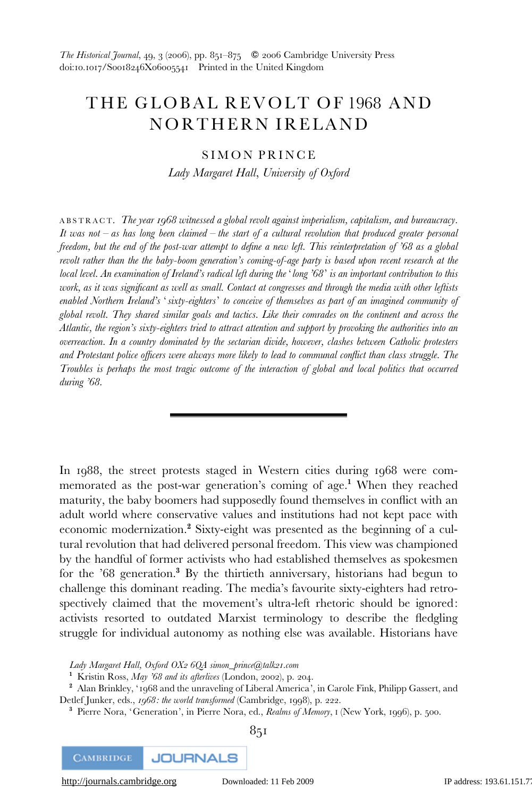# THE GLOBAL REVOLT OF 1968 AND NORTHERN IRELAND

## SIMON PRINCE

Lady Margaret Hall, University of Oxford

ABSTRACT. The year 1968 witnessed a global revolt against imperialism, capitalism, and bureaucracy. It was not  $-$  as has long been claimed  $-$  the start of a cultural revolution that produced greater personal freedom, but the end of the post-war attempt to define a new left. This reinterpretation of '68 as a global revolt rather than the the baby-boom generation's coming-of-age party is based upon recent research at the local level. An examination of Ireland's radical left during the 'long '68' is an important contribution to this work, as it was significant as well as small. Contact at congresses and through the media with other leftists enabled Northern Ireland's 'sixty-eighters' to conceive of themselves as part of an imagined community of global revolt. They shared similar goals and tactics. Like their comrades on the continent and across the Atlantic, the region's sixty-eighters tried to attract attention and support by provoking the authorities into an overreaction. In a country dominated by the sectarian divide, however, clashes between Catholic protesters and Protestant police officers were always more likely to lead to communal conflict than class struggle. The Troubles is perhaps the most tragic outcome of the interaction of global and local politics that occurred during '68.

In 1988, the street protests staged in Western cities during 1968 were commemorated as the post-war generation's coming of age.<sup>1</sup> When they reached maturity, the baby boomers had supposedly found themselves in conflict with an adult world where conservative values and institutions had not kept pace with economic modernization.<sup>2</sup> Sixty-eight was presented as the beginning of a cultural revolution that had delivered personal freedom. This view was championed by the handful of former activists who had established themselves as spokesmen for the '68 generation.<sup>3</sup> By the thirtieth anniversary, historians had begun to challenge this dominant reading. The media's favourite sixty-eighters had retrospectively claimed that the movement's ultra-left rhetoric should be ignored: activists resorted to outdated Marxist terminology to describe the fledgling struggle for individual autonomy as nothing else was available. Historians have

Lady Margaret Hall, Oxford OX2 6QA simon\_prince@talk21.com

<sup>1</sup> Kristin Ross, *May '68 and its afterlives* (London, 2002), p. 204.

<sup>2</sup> Alan Brinkley, '1968 and the unraveling of Liberal America', in Carole Fink, Philipp Gassert, and Detlef Junker, eds., 1968: the world transformed (Cambridge, 1998), p. 222.

<sup>3</sup> Pierre Nora, 'Generation', in Pierre Nora, ed., Realms of Memory, I (New York, 1996), p. 500.



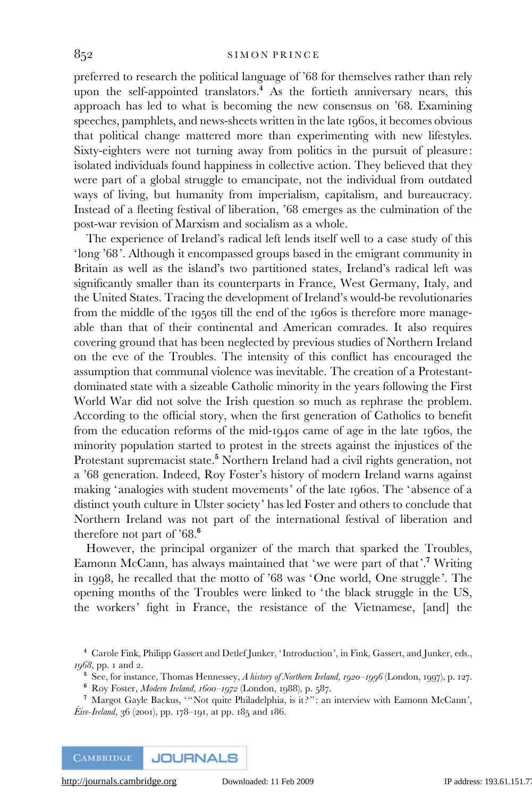preferred to research the political language of '68 for themselves rather than rely upon the self-appointed translators.<sup>4</sup> As the fortieth anniversary nears, this approach has led to what is becoming the new consensus on '68. Examining speeches, pamphlets, and news-sheets written in the late 1960s, it becomes obvious that political change mattered more than experimenting with new lifestyles. Sixty-eighters were not turning away from politics in the pursuit of pleasure: isolated individuals found happiness in collective action. They believed that they were part of a global struggle to emancipate, not the individual from outdated ways of living, but humanity from imperialism, capitalism, and bureaucracy. Instead of a fleeting festival of liberation, '68 emerges as the culmination of the post-war revision of Marxism and socialism as a whole.

The experience of Ireland's radical left lends itself well to a case study of this 'long '68'. Although it encompassed groups based in the emigrant community in Britain as well as the island's two partitioned states, Ireland's radical left was significantly smaller than its counterparts in France, West Germany, Italy, and the United States. Tracing the development of Ireland's would-be revolutionaries from the middle of the 1950s till the end of the 1960s is therefore more manageable than that of their continental and American comrades. It also requires covering ground that has been neglected by previous studies of Northern Ireland on the eve of the Troubles. The intensity of this conflict has encouraged the assumption that communal violence was inevitable. The creation of a Protestantdominated state with a sizeable Catholic minority in the years following the First World War did not solve the Irish question so much as rephrase the problem. According to the official story, when the first generation of Catholics to benefit from the education reforms of the mid-1940s came of age in the late 1960s, the minority population started to protest in the streets against the injustices of the Protestant supremacist state.<sup>5</sup> Northern Ireland had a civil rights generation, not a '68 generation. Indeed, Roy Foster's history of modern Ireland warns against making 'analogies with student movements' of the late 1960s. The 'absence of a distinct youth culture in Ulster society' has led Foster and others to conclude that Northern Ireland was not part of the international festival of liberation and therefore not part of '68.<sup>6</sup>

However, the principal organizer of the march that sparked the Troubles, Eamonn McCann, has always maintained that 'we were part of that'.<sup>7</sup> Writing in 1998, he recalled that the motto of '68 was 'One world, One struggle'. The opening months of the Troubles were linked to 'the black struggle in the US, the workers' fight in France, the resistance of the Vietnamese, [and] the

- <sup>5</sup> See, for instance, Thomas Hennessey, A history of Northern Ireland, 1920–1996 (London, 1997), p. 127.
- <sup>6</sup> Roy Foster, Modern Ireland, 1600–1972 (London, 1988), p. 587.
- <sup>7</sup> Margot Gayle Backus, '''Not quite Philadelphia, is it ?'': an interview with Eamonn McCann', *Éire-Ireland*, 36 (2001), pp. 178–191, at pp. 185 and 186.

<sup>4</sup> Carole Fink, Philipp Gassert and Detlef Junker, ' Introduction', in Fink, Gassert, and Junker, eds., 1968, pp. 1 and 2.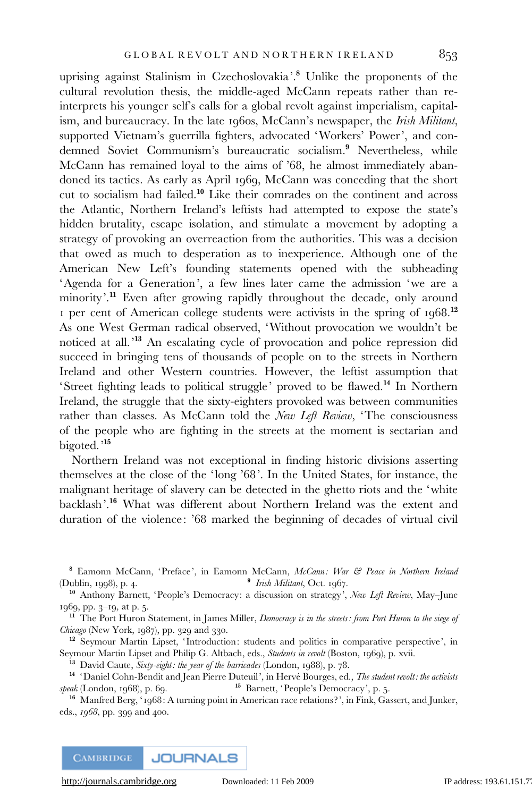uprising against Stalinism in Czechoslovakia'.<sup>8</sup> Unlike the proponents of the cultural revolution thesis, the middle-aged McCann repeats rather than reinterprets his younger self's calls for a global revolt against imperialism, capitalism, and bureaucracy. In the late 1960s, McCann's newspaper, the Irish Militant, supported Vietnam's guerrilla fighters, advocated 'Workers' Power', and condemned Soviet Communism's bureaucratic socialism.<sup>9</sup> Nevertheless, while McCann has remained loyal to the aims of '68, he almost immediately abandoned its tactics. As early as April 1969, McCann was conceding that the short cut to socialism had failed.<sup>10</sup> Like their comrades on the continent and across the Atlantic, Northern Ireland's leftists had attempted to expose the state's hidden brutality, escape isolation, and stimulate a movement by adopting a strategy of provoking an overreaction from the authorities. This was a decision that owed as much to desperation as to inexperience. Although one of the American New Left's founding statements opened with the subheading 'Agenda for a Generation', a few lines later came the admission 'we are a minority'.<sup>11</sup> Even after growing rapidly throughout the decade, only around 1 per cent of American college students were activists in the spring of  $1968$ <sup>12</sup> As one West German radical observed, 'Without provocation we wouldn't be noticed at all.'<sup>13</sup> An escalating cycle of provocation and police repression did succeed in bringing tens of thousands of people on to the streets in Northern Ireland and other Western countries. However, the leftist assumption that 'Street fighting leads to political struggle' proved to be flawed.<sup>14</sup> In Northern Ireland, the struggle that the sixty-eighters provoked was between communities rather than classes. As McCann told the New Left Review, 'The consciousness of the people who are fighting in the streets at the moment is sectarian and bigoted.'<sup>15</sup>

Northern Ireland was not exceptional in finding historic divisions asserting themselves at the close of the 'long '68'. In the United States, for instance, the malignant heritage of slavery can be detected in the ghetto riots and the 'white backlash'.<sup>16</sup> What was different about Northern Ireland was the extent and duration of the violence: '68 marked the beginning of decades of virtual civil

<sup>10</sup> Anthony Barnett, 'People's Democracy: a discussion on strategy', New Left Review, May-June 1969, pp. 3–19, at p. 5.

<sup>11</sup> The Port Huron Statement, in James Miller, *Democracy is in the streets: from Port Huron to the siege of* Chicago (New York, 1987), pp. 329 and 330.

<sup>12</sup> Seymour Martin Lipset, 'Introduction: students and politics in comparative perspective', in Seymour Martin Lipset and Philip G. Altbach, eds., Students in revolt (Boston, 1969), p. xvii.

 $13$  David Caute, Sixty-eight: the year of the barricades (London, 1988), p. 78.

<sup>14</sup> 'Daniel Cohn-Bendit and Jean Pierre Duteuil', in Hervé Bourges, ed., *The student revolt: the activists speak* (London, 1968), p. 69.  $15$  Barnett, 'People's Democracy', p. 5.

<sup>16</sup> Manfred Berg, ' 1968: A turning point in American race relations?', in Fink, Gassert, and Junker, eds., 1968, pp. 399 and 400.

<sup>8</sup> Eamonn McCann, 'Preface', in Eamonn McCann, McCann: War & Peace in Northern Ireland (Dublin, 1998), p. 4. 9 Irish Militant, Oct. 1967.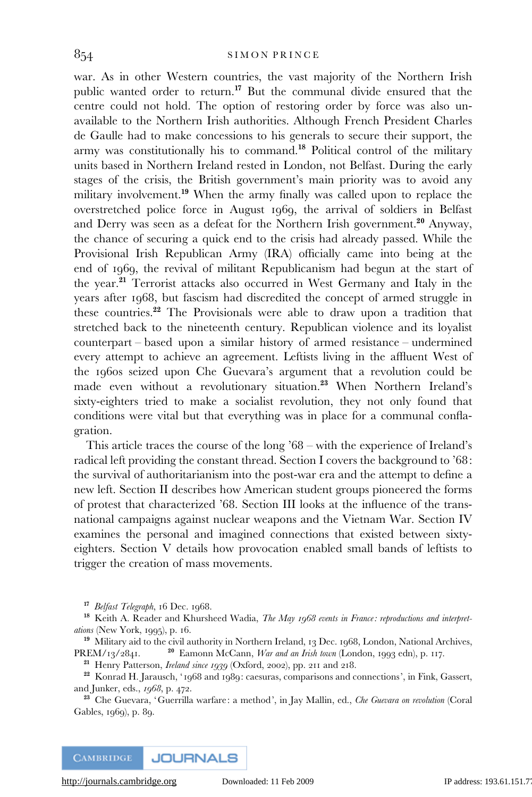war. As in other Western countries, the vast majority of the Northern Irish public wanted order to return.<sup>17</sup> But the communal divide ensured that the centre could not hold. The option of restoring order by force was also unavailable to the Northern Irish authorities. Although French President Charles de Gaulle had to make concessions to his generals to secure their support, the army was constitutionally his to command.<sup>18</sup> Political control of the military units based in Northern Ireland rested in London, not Belfast. During the early stages of the crisis, the British government's main priority was to avoid any military involvement.<sup>19</sup> When the army finally was called upon to replace the overstretched police force in August 1969, the arrival of soldiers in Belfast and Derry was seen as a defeat for the Northern Irish government.<sup>20</sup> Anyway, the chance of securing a quick end to the crisis had already passed. While the Provisional Irish Republican Army (IRA) officially came into being at the end of 1969, the revival of militant Republicanism had begun at the start of the year.<sup>21</sup> Terrorist attacks also occurred in West Germany and Italy in the years after 1968, but fascism had discredited the concept of armed struggle in these countries.<sup>22</sup> The Provisionals were able to draw upon a tradition that stretched back to the nineteenth century. Republican violence and its loyalist counterpart – based upon a similar history of armed resistance – undermined every attempt to achieve an agreement. Leftists living in the affluent West of the 1960s seized upon Che Guevara's argument that a revolution could be made even without a revolutionary situation.<sup>23</sup> When Northern Ireland's sixty-eighters tried to make a socialist revolution, they not only found that conditions were vital but that everything was in place for a communal conflagration.

This article traces the course of the long '68 – with the experience of Ireland's radical left providing the constant thread. Section I covers the background to '68: the survival of authoritarianism into the post-war era and the attempt to define a new left. Section II describes how American student groups pioneered the forms of protest that characterized '68. Section III looks at the influence of the transnational campaigns against nuclear weapons and the Vietnam War. Section IV examines the personal and imagined connections that existed between sixtyeighters. Section V details how provocation enabled small bands of leftists to trigger the creation of mass movements.

<sup>17</sup> Belfast Telegraph, 16 Dec. 1968.

<sup>18</sup> Keith A. Reader and Khursheed Wadia, *The May 1968 events in France: reproductions and interpret*ations (New York, 1995), p. 16.

<sup>19</sup> Military aid to the civil authority in Northern Ireland, 13 Dec. 1968, London, National Archives, PREM/13/2841. <sup>20</sup> Eamonn McCann, *War and an Irish town* (London, 1993 edn), p. 117.

<sup>21</sup> Henry Patterson, *Ireland since 1939* (Oxford, 2002), pp. 211 and 218.

<sup>22</sup> Konrad H. Jarausch, ' 1968 and 1989: caesuras, comparisons and connections', in Fink, Gassert, and Junker, eds., 1968, p. 472.

<sup>23</sup> Che Guevara, 'Guerrilla warfare: a method', in Jay Mallin, ed., *Che Guevara on revolution* (Coral Gables, 1969), p. 89.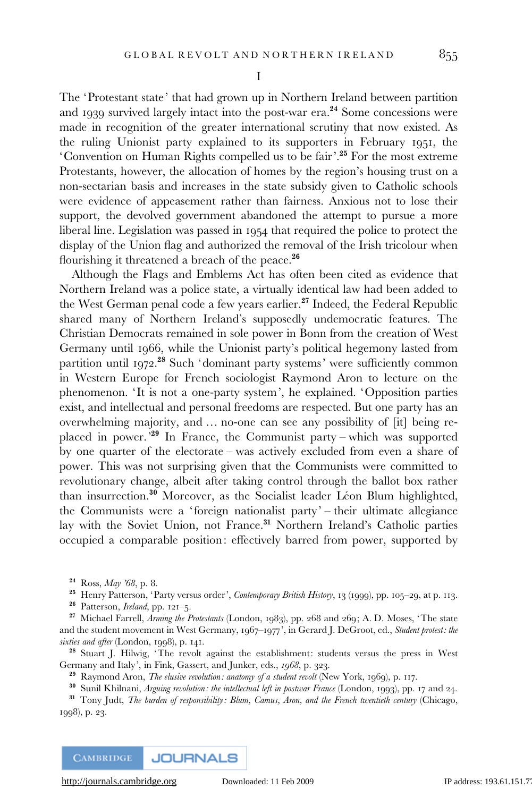I

The 'Protestant state' that had grown up in Northern Ireland between partition and 1939 survived largely intact into the post-war era.<sup>24</sup> Some concessions were made in recognition of the greater international scrutiny that now existed. As the ruling Unionist party explained to its supporters in February 1951, the 'Convention on Human Rights compelled us to be fair'.<sup>25</sup> For the most extreme Protestants, however, the allocation of homes by the region's housing trust on a non-sectarian basis and increases in the state subsidy given to Catholic schools were evidence of appeasement rather than fairness. Anxious not to lose their support, the devolved government abandoned the attempt to pursue a more liberal line. Legislation was passed in 1954 that required the police to protect the display of the Union flag and authorized the removal of the Irish tricolour when flourishing it threatened a breach of the peace.<sup>26</sup>

Although the Flags and Emblems Act has often been cited as evidence that Northern Ireland was a police state, a virtually identical law had been added to the West German penal code a few years earlier.<sup>27</sup> Indeed, the Federal Republic shared many of Northern Ireland's supposedly undemocratic features. The Christian Democrats remained in sole power in Bonn from the creation of West Germany until 1966, while the Unionist party's political hegemony lasted from partition until 1972.<sup>28</sup> Such 'dominant party systems' were sufficiently common in Western Europe for French sociologist Raymond Aron to lecture on the phenomenon. 'It is not a one-party system', he explained. 'Opposition parties exist, and intellectual and personal freedoms are respected. But one party has an overwhelming majority, and … no-one can see any possibility of [it] being replaced in power.'<sup>29</sup> In France, the Communist party – which was supported by one quarter of the electorate – was actively excluded from even a share of power. This was not surprising given that the Communists were committed to revolutionary change, albeit after taking control through the ballot box rather than insurrection.<sup>30</sup> Moreover, as the Socialist leader Léon Blum highlighted, the Communists were a 'foreign nationalist party' – their ultimate allegiance lay with the Soviet Union, not France.<sup>31</sup> Northern Ireland's Catholic parties occupied a comparable position: effectively barred from power, supported by

<sup>24</sup> Ross, May '68, p. 8.

<sup>25</sup> Henry Patterson, 'Party versus order', Contemporary British History, 13 (1999), pp. 105-29, at p. 113.

<sup>26</sup> Patterson, Ireland, pp. 121–5.

<sup>27</sup> Michael Farrell, Arming the Protestants (London, 1983), pp. 268 and 269; A. D. Moses, 'The state and the student movement in West Germany, 1967–1977', in Gerard J. DeGroot, ed., Student protest: the sixties and after (London, 1998), p. 141.

<sup>28</sup> Stuart J. Hilwig, 'The revolt against the establishment: students versus the press in West Germany and Italy', in Fink, Gassert, and Junker, eds., 1968, p. 323.

<sup>29</sup> Raymond Aron, *The elusive revolution: anatomy of a student revolt* (New York, 1969), p. 117.

<sup>30</sup> Sunil Khilnani, Arguing revolution: the intellectual left in postwar France (London, 1993), pp. 17 and 24.

<sup>31</sup> Tony Judt, The burden of responsibility: Blum, Camus, Aron, and the French twentieth century (Chicago, 1998), p. 23.

**JOURNALS CAMBRIDGE**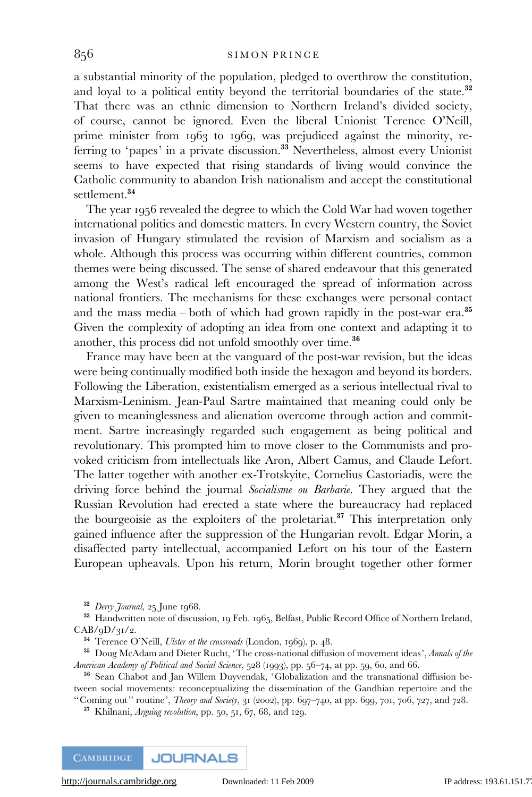a substantial minority of the population, pledged to overthrow the constitution, and loyal to a political entity beyond the territorial boundaries of the state.<sup>32</sup> That there was an ethnic dimension to Northern Ireland's divided society, of course, cannot be ignored. Even the liberal Unionist Terence O'Neill, prime minister from 1963 to 1969, was prejudiced against the minority, referring to 'papes' in a private discussion.<sup>33</sup> Nevertheless, almost every Unionist seems to have expected that rising standards of living would convince the Catholic community to abandon Irish nationalism and accept the constitutional settlement.<sup>34</sup>

The year 1956 revealed the degree to which the Cold War had woven together international politics and domestic matters. In every Western country, the Soviet invasion of Hungary stimulated the revision of Marxism and socialism as a whole. Although this process was occurring within different countries, common themes were being discussed. The sense of shared endeavour that this generated among the West's radical left encouraged the spread of information across national frontiers. The mechanisms for these exchanges were personal contact and the mass media – both of which had grown rapidly in the post-war era.<sup>35</sup> Given the complexity of adopting an idea from one context and adapting it to another, this process did not unfold smoothly over time.<sup>36</sup>

France may have been at the vanguard of the post-war revision, but the ideas were being continually modified both inside the hexagon and beyond its borders. Following the Liberation, existentialism emerged as a serious intellectual rival to Marxism-Leninism. Jean-Paul Sartre maintained that meaning could only be given to meaninglessness and alienation overcome through action and commitment. Sartre increasingly regarded such engagement as being political and revolutionary. This prompted him to move closer to the Communists and provoked criticism from intellectuals like Aron, Albert Camus, and Claude Lefort. The latter together with another ex-Trotskyite, Cornelius Castoriadis, were the driving force behind the journal Socialisme ou Barbarie. They argued that the Russian Revolution had erected a state where the bureaucracy had replaced the bourgeoisie as the exploiters of the proletariat.<sup>37</sup> This interpretation only gained influence after the suppression of the Hungarian revolt. Edgar Morin, a disaffected party intellectual, accompanied Lefort on his tour of the Eastern European upheavals. Upon his return, Morin brought together other former

<sup>32</sup> Derry Journal, 25 June 1968.

<sup>33</sup> Handwritten note of discussion, 19 Feb. 1965, Belfast, Public Record Office of Northern Ireland,  $CAB/qD/qI/2$ .

<sup>34</sup> Terence O'Neill, *Ulster at the crossroads* (London, 1969), p. 48.

<sup>35</sup> Doug McAdam and Dieter Rucht, 'The cross-national diffusion of movement ideas', Annals of the American Academy of Political and Social Science, 528 (1993), pp. 56-74, at pp. 59, 60, and 66.

<sup>36</sup> Sean Chabot and Jan Willem Duyvendak, 'Globalization and the transnational diffusion between social movements: reconceptualizing the dissemination of the Gandhian repertoire and the "Coming out" routine', *Theory and Society*,  $31$  (2002), pp. 697–740, at pp. 699, 701, 706, 727, and 728.

 $37$  Khilnani, *Arguing revolution*, pp. 50, 51, 67, 68, and 129.

**CAMBRIDGE** 

**JOURNALS**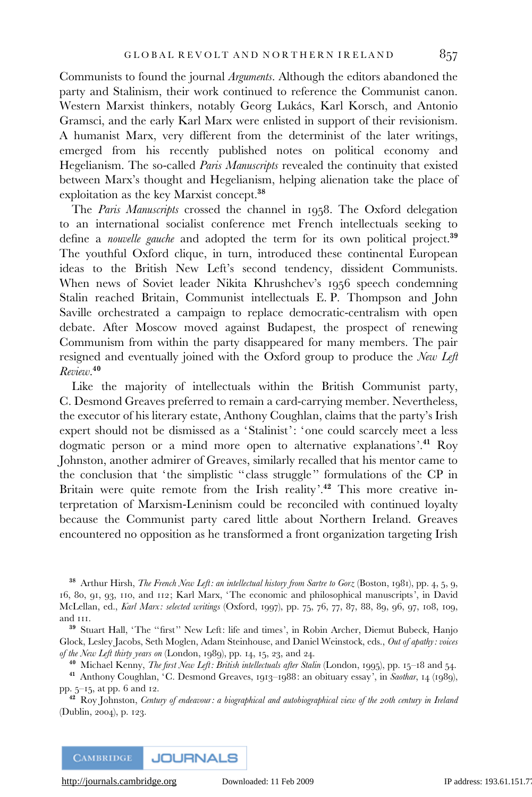Communists to found the journal Arguments. Although the editors abandoned the party and Stalinism, their work continued to reference the Communist canon. Western Marxist thinkers, notably Georg Lukács, Karl Korsch, and Antonio Gramsci, and the early Karl Marx were enlisted in support of their revisionism. A humanist Marx, very different from the determinist of the later writings, emerged from his recently published notes on political economy and Hegelianism. The so-called *Paris Manuscripts* revealed the continuity that existed between Marx's thought and Hegelianism, helping alienation take the place of exploitation as the key Marxist concept.<sup>38</sup>

The Paris Manuscripts crossed the channel in 1958. The Oxford delegation to an international socialist conference met French intellectuals seeking to define a *nouvelle gauche* and adopted the term for its own political project.<sup>39</sup> The youthful Oxford clique, in turn, introduced these continental European ideas to the British New Left's second tendency, dissident Communists. When news of Soviet leader Nikita Khrushchev's 1956 speech condemning Stalin reached Britain, Communist intellectuals E. P. Thompson and John Saville orchestrated a campaign to replace democratic-centralism with open debate. After Moscow moved against Budapest, the prospect of renewing Communism from within the party disappeared for many members. The pair resigned and eventually joined with the Oxford group to produce the New Left Review. 40

Like the majority of intellectuals within the British Communist party, C. Desmond Greaves preferred to remain a card-carrying member. Nevertheless, the executor of his literary estate, Anthony Coughlan, claims that the party's Irish expert should not be dismissed as a 'Stalinist': 'one could scarcely meet a less dogmatic person or a mind more open to alternative explanations'.<sup>41</sup> Roy Johnston, another admirer of Greaves, similarly recalled that his mentor came to the conclusion that 'the simplistic ''class struggle'' formulations of the CP in Britain were quite remote from the Irish reality'.<sup>42</sup> This more creative interpretation of Marxism-Leninism could be reconciled with continued loyalty because the Communist party cared little about Northern Ireland. Greaves encountered no opposition as he transformed a front organization targeting Irish

<sup>38</sup> Arthur Hirsh, *The French New Left: an intellectual history from Sartre to Gorz* (Boston, 1981), pp. 4, 5, 9, 16, 80, 91, 93, 110, and 112; Karl Marx, 'The economic and philosophical manuscripts', in David McLellan, ed., Karl Marx: selected writings (Oxford, 1997), pp. 75, 76, 77, 87, 88, 89, 96, 97, 108, 109, and 111.

<sup>39</sup> Stuart Hall, 'The "first" New Left: life and times', in Robin Archer, Diemut Bubeck, Hanjo Glock, Lesley Jacobs, Seth Moglen, Adam Steinhouse, and Daniel Weinstock, eds., Out of apathy: voices of the New Left thirty years on (London, 1989), pp. 14, 15, 23, and 24.

<sup>40</sup> Michael Kenny, *The first New Left: British intellectuals after Stalin* (London, 1995), pp. 15–18 and 54.

<sup>41</sup> Anthony Coughlan, 'C. Desmond Greaves, 1913-1988: an obituary essay', in Saothar, 14 (1989), pp. 5–15, at pp. 6 and 12.

<sup>42</sup> Roy Johnston, Century of endeavour: a biographical and autobiographical view of the 20th century in Ireland (Dublin, 2004), p. 123.

**CAMBRIDGE JOURNALS**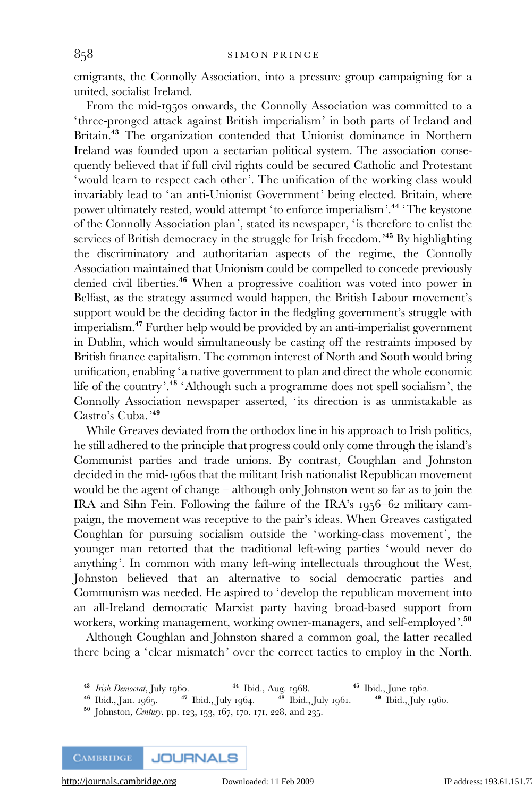emigrants, the Connolly Association, into a pressure group campaigning for a united, socialist Ireland.

From the mid-1950s onwards, the Connolly Association was committed to a 'three-pronged attack against British imperialism' in both parts of Ireland and Britain.<sup>43</sup> The organization contended that Unionist dominance in Northern Ireland was founded upon a sectarian political system. The association consequently believed that if full civil rights could be secured Catholic and Protestant 'would learn to respect each other'. The unification of the working class would invariably lead to 'an anti-Unionist Government' being elected. Britain, where power ultimately rested, would attempt 'to enforce imperialism'.<sup>44</sup> 'The keystone of the Connolly Association plan', stated its newspaper, 'is therefore to enlist the services of British democracy in the struggle for Irish freedom.<sup>345</sup> By highlighting the discriminatory and authoritarian aspects of the regime, the Connolly Association maintained that Unionism could be compelled to concede previously denied civil liberties.<sup>46</sup> When a progressive coalition was voted into power in Belfast, as the strategy assumed would happen, the British Labour movement's support would be the deciding factor in the fledgling government's struggle with imperialism.<sup>47</sup> Further help would be provided by an anti-imperialist government in Dublin, which would simultaneously be casting off the restraints imposed by British finance capitalism. The common interest of North and South would bring unification, enabling 'a native government to plan and direct the whole economic life of the country'.<sup>48</sup> 'Although such a programme does not spell socialism', the Connolly Association newspaper asserted, 'its direction is as unmistakable as Castro's Cuba.'<sup>49</sup>

While Greaves deviated from the orthodox line in his approach to Irish politics, he still adhered to the principle that progress could only come through the island's Communist parties and trade unions. By contrast, Coughlan and Johnston decided in the mid-1960s that the militant Irish nationalist Republican movement would be the agent of change – although only Johnston went so far as to join the IRA and Sihn Fein. Following the failure of the IRA's 1956–62 military campaign, the movement was receptive to the pair's ideas. When Greaves castigated Coughlan for pursuing socialism outside the 'working-class movement', the younger man retorted that the traditional left-wing parties 'would never do anything'. In common with many left-wing intellectuals throughout the West, Johnston believed that an alternative to social democratic parties and Communism was needed. He aspired to 'develop the republican movement into an all-Ireland democratic Marxist party having broad-based support from workers, working management, working owner-managers, and self-employed'.<sup>50</sup>

Although Coughlan and Johnston shared a common goal, the latter recalled there being a 'clear mismatch' over the correct tactics to employ in the North.

**CAMBRIDGE JOURNALS** 

<sup>&</sup>lt;sup>43</sup> *Irish Democrat*, July 1960. <sup>44</sup> Ibid., Aug. 1968. <sup>45</sup> Ibid., June 1962. <sup>46</sup> Ibid., Ian. 1965. <sup>47</sup> Ibid., July 1964. <sup>48</sup> Ibid., July 1961. <sup>49</sup> Ibid., July 1960.

<sup>&</sup>lt;sup>46</sup> Ibid., Jan. 1965.  $47$  Ibid., July 1964.  $48$  Ibid., July 1961.

<sup>50</sup> Johnston, Century, pp. 123, 153, 167, 170, 171, 228, and 235.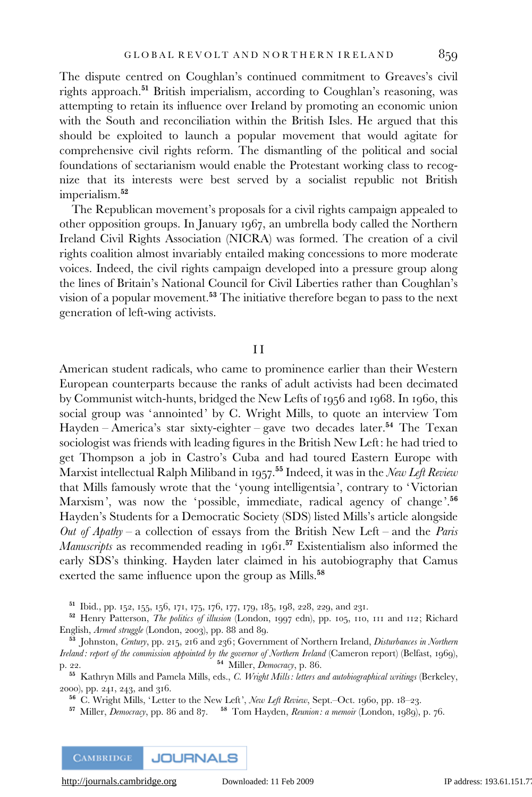The dispute centred on Coughlan's continued commitment to Greaves's civil rights approach.<sup>51</sup> British imperialism, according to Coughlan's reasoning, was attempting to retain its influence over Ireland by promoting an economic union with the South and reconciliation within the British Isles. He argued that this should be exploited to launch a popular movement that would agitate for comprehensive civil rights reform. The dismantling of the political and social foundations of sectarianism would enable the Protestant working class to recognize that its interests were best served by a socialist republic not British imperialism.<sup>52</sup>

The Republican movement's proposals for a civil rights campaign appealed to other opposition groups. In January 1967, an umbrella body called the Northern Ireland Civil Rights Association (NICRA) was formed. The creation of a civil rights coalition almost invariably entailed making concessions to more moderate voices. Indeed, the civil rights campaign developed into a pressure group along the lines of Britain's National Council for Civil Liberties rather than Coughlan's vision of a popular movement.<sup>53</sup> The initiative therefore began to pass to the next generation of left-wing activists.

## I I

American student radicals, who came to prominence earlier than their Western European counterparts because the ranks of adult activists had been decimated by Communist witch-hunts, bridged the New Lefts of 1956 and 1968. In 1960, this social group was 'annointed' by C. Wright Mills, to quote an interview Tom Hayden – America's star sixty-eighter – gave two decades later.<sup>54</sup> The Texan sociologist was friends with leading figures in the British New Left: he had tried to get Thompson a job in Castro's Cuba and had toured Eastern Europe with Marxist intellectual Ralph Miliband in 1957.<sup>55</sup> Indeed, it was in the *New Left Review* that Mills famously wrote that the 'young intelligentsia', contrary to 'Victorian Marxism', was now the 'possible, immediate, radical agency of change'.<sup>56</sup> Hayden's Students for a Democratic Society (SDS) listed Mills's article alongside Out of Apathy – a collection of essays from the British New Left – and the Paris Manuscripts as recommended reading in 1961.<sup>57</sup> Existentialism also informed the early SDS's thinking. Hayden later claimed in his autobiography that Camus exerted the same influence upon the group as Mills.<sup>58</sup>

<sup>51</sup> Ibid., pp. 152, 155, 156, 171, 175, 176, 177, 179, 185, 198, 228, 229, and 231.

<sup>52</sup> Henry Patterson, *The politics of illusion* (London, 1997 edn), pp. 105, 110, 111 and 112; Richard English, Armed struggle (London, 2003), pp. 88 and 89.

<sup>55</sup> Kathryn Mills and Pamela Mills, eds., C. Wright Mills: letters and autobiographical writings (Berkeley, 2000), pp. 241, 243, and 316.

<sup>56</sup> C. Wright Mills, 'Letter to the New Left', New Left Review, Sept.–Oct. 1960, pp. 18–23.

<sup>57</sup> Miller, *Democracy*, pp. 86 and 87. <sup>58</sup> Tom Hayden, *Reunion: a memoir* (London, 1989), p. 76.

**CAMBRIDGE JOURNALS** 

<sup>53</sup> Johnston, Century, pp. 215, 216 and 236; Government of Northern Ireland, Disturbances in Northern Ireland: report of the commission appointed by the governor of Northern Ireland (Cameron report) (Belfast, 1969), p. 22. 54 Miller, *Democracy*, p. 86.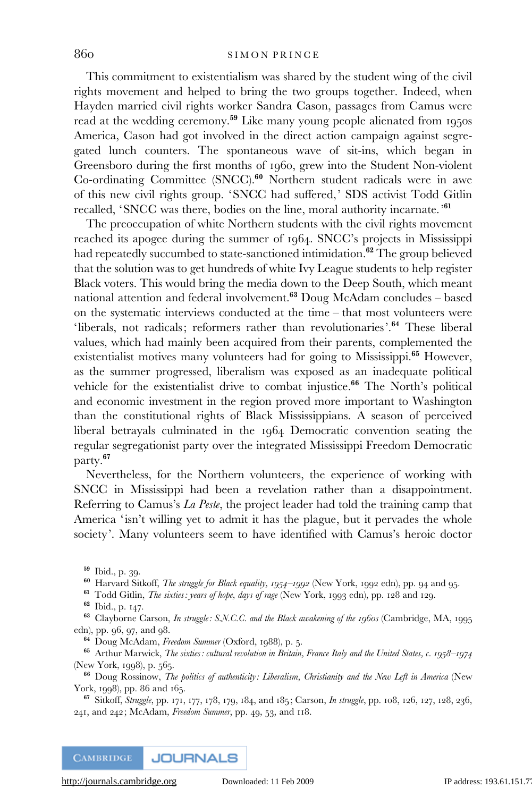This commitment to existentialism was shared by the student wing of the civil rights movement and helped to bring the two groups together. Indeed, when Hayden married civil rights worker Sandra Cason, passages from Camus were read at the wedding ceremony.<sup>59</sup> Like many young people alienated from 1950s America, Cason had got involved in the direct action campaign against segregated lunch counters. The spontaneous wave of sit-ins, which began in Greensboro during the first months of 1960, grew into the Student Non-violent Co-ordinating Committee (SNCC).<sup>60</sup> Northern student radicals were in awe of this new civil rights group. 'SNCC had suffered,' SDS activist Todd Gitlin recalled, 'SNCC was there, bodies on the line, moral authority incarnate.'<sup>61</sup>

The preoccupation of white Northern students with the civil rights movement reached its apogee during the summer of 1964. SNCC's projects in Mississippi had repeatedly succumbed to state-sanctioned intimidation.<sup>62</sup> The group believed that the solution was to get hundreds of white Ivy League students to help register Black voters. This would bring the media down to the Deep South, which meant national attention and federal involvement.<sup>63</sup> Doug McAdam concludes – based on the systematic interviews conducted at the time – that most volunteers were 'liberals, not radicals; reformers rather than revolutionaries'.<sup>64</sup> These liberal values, which had mainly been acquired from their parents, complemented the existentialist motives many volunteers had for going to Mississippi.<sup>65</sup> However, as the summer progressed, liberalism was exposed as an inadequate political vehicle for the existentialist drive to combat injustice.<sup>66</sup> The North's political and economic investment in the region proved more important to Washington than the constitutional rights of Black Mississippians. A season of perceived liberal betrayals culminated in the 1964 Democratic convention seating the regular segregationist party over the integrated Mississippi Freedom Democratic party.<sup>67</sup>

Nevertheless, for the Northern volunteers, the experience of working with SNCC in Mississippi had been a revelation rather than a disappointment. Referring to Camus's La Peste, the project leader had told the training camp that America 'isn't willing yet to admit it has the plague, but it pervades the whole society'. Many volunteers seem to have identified with Camus's heroic doctor

<sup>60</sup> Harvard Sitkoff, *The struggle for Black equality, 1954–1992* (New York, 1992 edn), pp. 94 and 95.

<sup>61</sup> Todd Gitlin, *The sixties: years of hope, days of rage* (New York, 1993 edn), pp. 128 and 129.

<sup>63</sup> Clayborne Carson, *In struggle: S.N.C.C. and the Black awakening of the 1960s* (Cambridge, MA, 1995 edn), pp. 96, 97, and 98.

<sup>64</sup> Doug McAdam, Freedom Summer (Oxford, 1988), p. 5.

<sup>65</sup> Arthur Marwick, *The sixties: cultural revolution in Britain, France Italy and the United States, c. 1958–1974* (New York, 1998), p. 565.

<sup>66</sup> Doug Rossinow, The politics of authenticity: Liberalism, Christianity and the New Left in America (New York, 1998), pp. 86 and 165.

 $67$  Sitkoff, Struggle, pp. 171, 177, 178, 179, 184, and 185; Carson, In struggle, pp. 108, 126, 127, 128, 236, 241, and 242; McAdam, Freedom Summer, pp. 49, 53, and 118.

<sup>59</sup> Ibid., p. 39.

<sup>62</sup> Ibid., p. 147.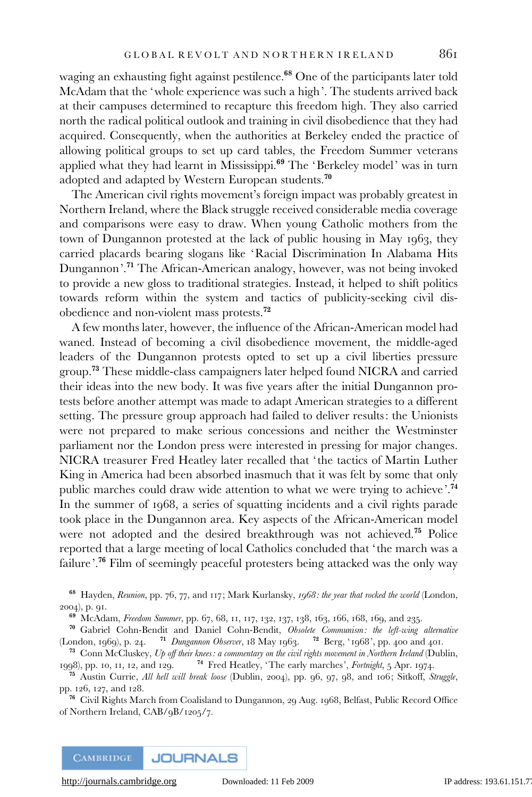waging an exhausting fight against pestilence.<sup>68</sup> One of the participants later told McAdam that the 'whole experience was such a high'. The students arrived back at their campuses determined to recapture this freedom high. They also carried north the radical political outlook and training in civil disobedience that they had acquired. Consequently, when the authorities at Berkeley ended the practice of allowing political groups to set up card tables, the Freedom Summer veterans applied what they had learnt in Mississippi.<sup>69</sup> The 'Berkeley model' was in turn adopted and adapted by Western European students.<sup>70</sup>

The American civil rights movement's foreign impact was probably greatest in Northern Ireland, where the Black struggle received considerable media coverage and comparisons were easy to draw. When young Catholic mothers from the town of Dungannon protested at the lack of public housing in May 1963, they carried placards bearing slogans like 'Racial Discrimination In Alabama Hits Dungannon'.<sup>71</sup> The African-American analogy, however, was not being invoked to provide a new gloss to traditional strategies. Instead, it helped to shift politics towards reform within the system and tactics of publicity-seeking civil disobedience and non-violent mass protests.<sup>72</sup>

A few months later, however, the influence of the African-American model had waned. Instead of becoming a civil disobedience movement, the middle-aged leaders of the Dungannon protests opted to set up a civil liberties pressure group.<sup>73</sup> These middle-class campaigners later helped found NICRA and carried their ideas into the new body. It was five years after the initial Dungannon protests before another attempt was made to adapt American strategies to a different setting. The pressure group approach had failed to deliver results: the Unionists were not prepared to make serious concessions and neither the Westminster parliament nor the London press were interested in pressing for major changes. NICRA treasurer Fred Heatley later recalled that 'the tactics of Martin Luther King in America had been absorbed inasmuch that it was felt by some that only public marches could draw wide attention to what we were trying to achieve'.<sup>74</sup> In the summer of 1968, a series of squatting incidents and a civil rights parade took place in the Dungannon area. Key aspects of the African-American model were not adopted and the desired breakthrough was not achieved.<sup>75</sup> Police reported that a large meeting of local Catholics concluded that 'the march was a failure'.<sup>76</sup> Film of seemingly peaceful protesters being attacked was the only way

<sup>68</sup> Hayden, Reunion, pp. 76, 77, and 117; Mark Kurlansky, 1968: the year that rocked the world (London, 2004), p. 91.

<sup>69</sup> McAdam, Freedom Summer, pp. 67, 68, 11, 117, 132, 137, 138, 163, 166, 168, 169, and 235.

<sup>70</sup> Gabriel Cohn-Bendit and Daniel Cohn-Bendit, Obsolete Communism: the left-wing alternative (London, 1969), p. 24. <sup>71</sup> Dungannon Observer, 18 May 1963. <sup>72</sup> Berg, '1968', pp. 400 and 401.

<sup>73</sup> Conn McCluskey, Up off their knees: a commentary on the civil rights movement in Northern Ireland (Dublin, 1998), pp. 10, 11, 12, and 129. <sup>74</sup> Fred Heatley, 'The early marches', Fortnight, 5 Apr. 1974.

<sup>75</sup> Austin Currie, All hell will break loose (Dublin, 2004), pp. 96, 97, 98, and 106; Sitkoff, Struggle, pp. 126, 127, and 128.

<sup>76</sup> Civil Rights March from Coalisland to Dungannon, 29 Aug. 1968, Belfast, Public Record Office of Northern Ireland, CAB/9B/1205/7.

**CAMBRIDGE JOURNALS**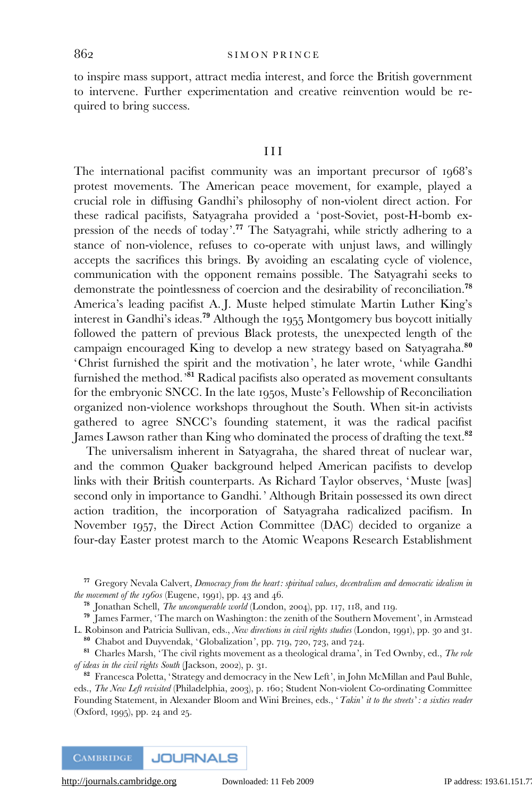to inspire mass support, attract media interest, and force the British government to intervene. Further experimentation and creative reinvention would be required to bring success.

## III

The international pacifist community was an important precursor of 1968's protest movements. The American peace movement, for example, played a crucial role in diffusing Gandhi's philosophy of non-violent direct action. For these radical pacifists, Satyagraha provided a 'post-Soviet, post-H-bomb expression of the needs of today'.<sup>77</sup> The Satyagrahi, while strictly adhering to a stance of non-violence, refuses to co-operate with unjust laws, and willingly accepts the sacrifices this brings. By avoiding an escalating cycle of violence, communication with the opponent remains possible. The Satyagrahi seeks to demonstrate the pointlessness of coercion and the desirability of reconciliation.<sup>78</sup> America's leading pacifist A. J. Muste helped stimulate Martin Luther King's interest in Gandhi's ideas.<sup>79</sup> Although the 1955 Montgomery bus boycott initially followed the pattern of previous Black protests, the unexpected length of the campaign encouraged King to develop a new strategy based on Satyagraha.<sup>80</sup> 'Christ furnished the spirit and the motivation', he later wrote, 'while Gandhi furnished the method.<sup>'81</sup> Radical pacifists also operated as movement consultants for the embryonic SNCC. In the late 1950s, Muste's Fellowship of Reconciliation organized non-violence workshops throughout the South. When sit-in activists gathered to agree SNCC's founding statement, it was the radical pacifist James Lawson rather than King who dominated the process of drafting the text.<sup>82</sup>

The universalism inherent in Satyagraha, the shared threat of nuclear war, and the common Quaker background helped American pacifists to develop links with their British counterparts. As Richard Taylor observes, 'Muste [was] second only in importance to Gandhi.' Although Britain possessed its own direct action tradition, the incorporation of Satyagraha radicalized pacifism. In November 1957, the Direct Action Committee (DAC) decided to organize a four-day Easter protest march to the Atomic Weapons Research Establishment

<sup>78</sup> Jonathan Schell, The unconquerable world (London, 2004), pp. 117, 118, and 119.

<sup>79</sup> James Farmer, 'The march on Washington: the zenith of the Southern Movement', in Armstead L. Robinson and Patricia Sullivan, eds., New directions in civil rights studies (London, 1991), pp. 30 and 31.

<sup>80</sup> Chabot and Duyvendak, 'Globalization', pp. 719, 720, 723, and 724.

 $77$  Gregory Nevala Calvert, Democracy from the heart: spiritual values, decentralism and democratic idealism in the movement of the 1960s (Eugene, 1991), pp. 43 and 46.

<sup>&</sup>lt;sup>81</sup> Charles Marsh, 'The civil rights movement as a theological drama', in Ted Ownby, ed., The role of ideas in the civil rights South (Jackson, 2002), p. 31.

<sup>&</sup>lt;sup>82</sup> Francesca Poletta, 'Strategy and democracy in the New Left', in John McMillan and Paul Buhle, eds., The New Left revisited (Philadelphia, 2003), p. 160; Student Non-violent Co-ordinating Committee Founding Statement, in Alexander Bloom and Wini Breines, eds., 'Takin' it to the streets': a sixties reader (Oxford, 1995), pp. 24 and 25.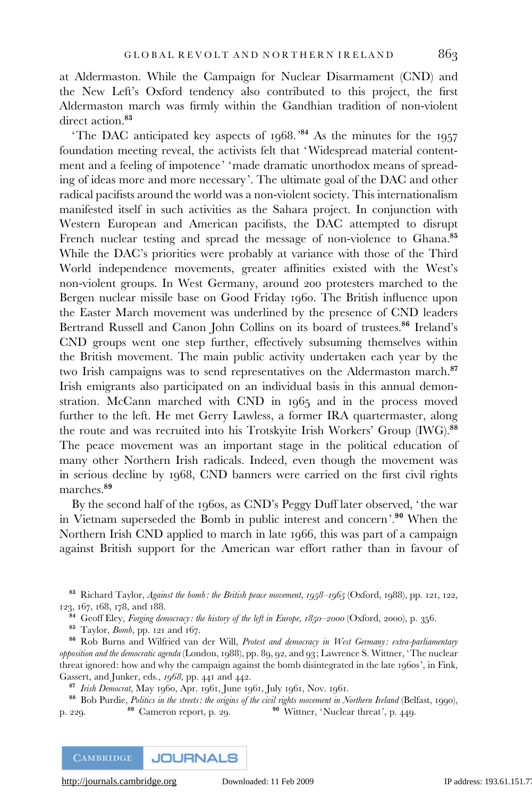at Aldermaston. While the Campaign for Nuclear Disarmament (CND) and the New Left's Oxford tendency also contributed to this project, the first Aldermaston march was firmly within the Gandhian tradition of non-violent direct action.<sup>83</sup>

'The DAC anticipated key aspects of 1968.'<sup>84</sup> As the minutes for the 1957 foundation meeting reveal, the activists felt that 'Widespread material contentment and a feeling of impotence' 'made dramatic unorthodox means of spreading of ideas more and more necessary'. The ultimate goal of the DAC and other radical pacifists around the world was a non-violent society. This internationalism manifested itself in such activities as the Sahara project. In conjunction with Western European and American pacifists, the DAC attempted to disrupt French nuclear testing and spread the message of non-violence to Ghana.<sup>85</sup> While the DAC's priorities were probably at variance with those of the Third World independence movements, greater affinities existed with the West's non-violent groups. In West Germany, around 200 protesters marched to the Bergen nuclear missile base on Good Friday 1960. The British influence upon the Easter March movement was underlined by the presence of CND leaders Bertrand Russell and Canon John Collins on its board of trustees.<sup>86</sup> Ireland's CND groups went one step further, effectively subsuming themselves within the British movement. The main public activity undertaken each year by the two Irish campaigns was to send representatives on the Aldermaston march.<sup>87</sup> Irish emigrants also participated on an individual basis in this annual demonstration. McCann marched with CND in 1965 and in the process moved further to the left. He met Gerry Lawless, a former IRA quartermaster, along the route and was recruited into his Trotskyite Irish Workers' Group (IWG).<sup>88</sup> The peace movement was an important stage in the political education of many other Northern Irish radicals. Indeed, even though the movement was in serious decline by 1968, CND banners were carried on the first civil rights marches.<sup>89</sup>

By the second half of the 1960s, as CND's Peggy Duff later observed, 'the war in Vietnam superseded the Bomb in public interest and concern'.<sup>90</sup> When the Northern Irish CND applied to march in late 1966, this was part of a campaign against British support for the American war effort rather than in favour of

83 Richard Taylor, Against the bomb: the British peace movement, 1958–1965 (Oxford, 1988), pp. 121, 122, 123, 167, 168, 178, and 188.

<sup>84</sup> Geoff Eley, *Forging democracy: the history of the left in Europe,*  $1850-2000$  *(Oxford, 2000), p. 356.* 

<sup>85</sup> Taylor, Bomb, pp. 121 and 167.

86 Rob Burns and Wilfried van der Will, Protest and democracy in West Germany: extra-parliamentary opposition and the democratic agenda (London, 1988), pp. 89, 92, and 93; Lawrence S. Wittner, 'The nuclear threat ignored: how and why the campaign against the bomb disintegrated in the late 1960s', in Fink, Gassert, and Junker, eds., 1968, pp. 441 and 442.

87 Irish Democrat, May 1960, Apr. 1961, June 1961, July 1961, Nov. 1961.

88 Bob Purdie, *Politics in the streets: the origins of the civil rights movement in Northern Ireland* (Belfast, 1990), 229.<br><sup>89</sup> Cameron report, p. 29.<br><sup>90</sup> Wittner, 'Nuclear threat', p. 449. p. 229. 89 Cameron report, p. 29. 90 Wittner, 'Nuclear threat', p. 449.

**CAMBRIDGE JOURNALS**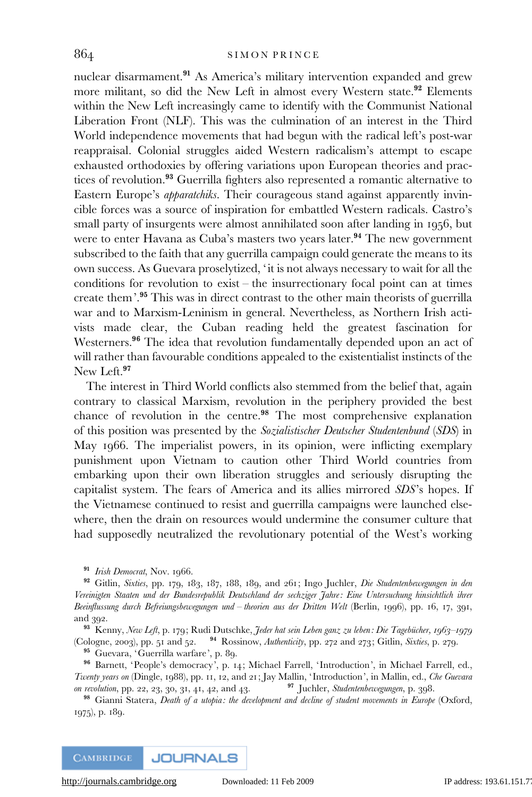nuclear disarmament.<sup>91</sup> As America's military intervention expanded and grew more militant, so did the New Left in almost every Western state.<sup>92</sup> Elements within the New Left increasingly came to identify with the Communist National Liberation Front (NLF). This was the culmination of an interest in the Third World independence movements that had begun with the radical left's post-war reappraisal. Colonial struggles aided Western radicalism's attempt to escape exhausted orthodoxies by offering variations upon European theories and practices of revolution.<sup>93</sup> Guerrilla fighters also represented a romantic alternative to Eastern Europe's *apparatchiks*. Their courageous stand against apparently invincible forces was a source of inspiration for embattled Western radicals. Castro's small party of insurgents were almost annihilated soon after landing in 1956, but were to enter Havana as Cuba's masters two years later.<sup>94</sup> The new government subscribed to the faith that any guerrilla campaign could generate the means to its own success. As Guevara proselytized, 'it is not always necessary to wait for all the conditions for revolution to exist – the insurrectionary focal point can at times create them'.<sup>95</sup> This was in direct contrast to the other main theorists of guerrilla war and to Marxism-Leninism in general. Nevertheless, as Northern Irish activists made clear, the Cuban reading held the greatest fascination for Westerners.<sup>96</sup> The idea that revolution fundamentally depended upon an act of will rather than favourable conditions appealed to the existentialist instincts of the New Left.<sup>97</sup>

The interest in Third World conflicts also stemmed from the belief that, again contrary to classical Marxism, revolution in the periphery provided the best chance of revolution in the centre.<sup>98</sup> The most comprehensive explanation of this position was presented by the Sozialistischer Deutscher Studentenbund (SDS) in May 1966. The imperialist powers, in its opinion, were inflicting exemplary punishment upon Vietnam to caution other Third World countries from embarking upon their own liberation struggles and seriously disrupting the capitalist system. The fears of America and its allies mirrored SDS's hopes. If the Vietnamese continued to resist and guerrilla campaigns were launched elsewhere, then the drain on resources would undermine the consumer culture that had supposedly neutralized the revolutionary potential of the West's working

93 Kenny, New Left, p. 179; Rudi Dutschke, Jeder hat sein Leben ganz zu leben: Die Tagebücher, 1963–1979 (Cologne, 2003), pp. 51 and 52.  $94$  Rossinow, Authenticity, pp. 272 and 273; Gitlin, Sixties, p. 279.

<sup>95</sup> Guevara, 'Guerrilla warfare', p. 89.

<sup>96</sup> Barnett, 'People's democracy', p. 14; Michael Farrell, ' Introduction', in Michael Farrell, ed., Twenty years on (Dingle, 1988), pp. 11, 12, and 21; Jay Mallin, 'Introduction', in Mallin, ed., *Che Guevara* on revolution, pp. 22, 23, 30, 31, 41, 42, and 43. <sup>97</sup> Juchler, *Studentenbewegungen*, p. 398. on revolution, pp. 22, 23, 30, 31, 41, 42, and 43.

<sup>98</sup> Gianni Statera, Death of a utopia: the development and decline of student movements in Europe (Oxford, 1975), p. 189.

**CAMBRIDGE JOURNALS** 

<sup>&</sup>lt;sup>91</sup> Irish Democrat, Nov. 1966.

<sup>92</sup> Gitlin, Sixties, pp. 179, 183, 187, 188, 189, and 261; Ingo Juchler, Die Studentenbewegungen in den Vereinigten Staaten und der Bundesrepublik Deutschland der sechziger Jahre: Eine Untersuchung hinsichtlich ihrer Beeinflussung durch Befreiungsbewegungen und – theorien aus der Dritten Welt (Berlin, 1996), pp. 16, 17, 391, and 392.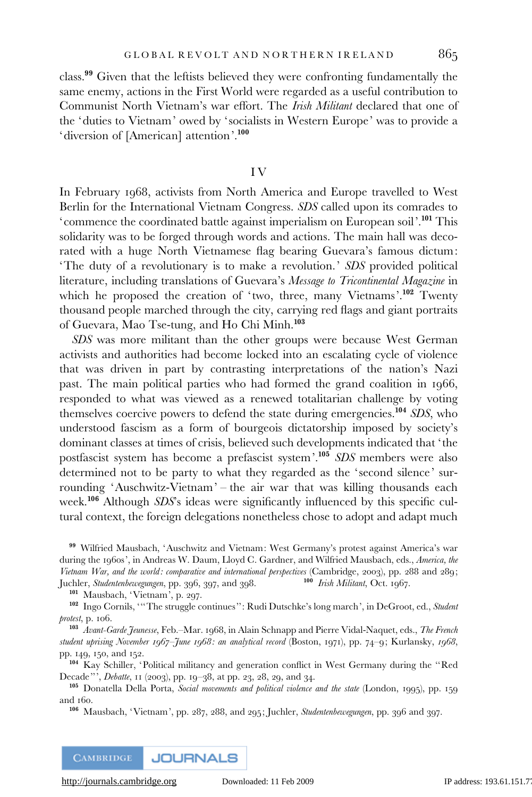class.<sup>99</sup> Given that the leftists believed they were confronting fundamentally the same enemy, actions in the First World were regarded as a useful contribution to Communist North Vietnam's war effort. The Irish Militant declared that one of the 'duties to Vietnam' owed by ' socialists in Western Europe' was to provide a 'diversion of [American] attention'.<sup>100</sup>

#### I V

In February 1968, activists from North America and Europe travelled to West Berlin for the International Vietnam Congress. SDS called upon its comrades to 'commence the coordinated battle against imperialism on European soil'.<sup>101</sup> This solidarity was to be forged through words and actions. The main hall was decorated with a huge North Vietnamese flag bearing Guevara's famous dictum: 'The duty of a revolutionary is to make a revolution.' SDS provided political literature, including translations of Guevara's Message to Tricontinental Magazine in which he proposed the creation of 'two, three, many Vietnams'.<sup>102</sup> Twenty thousand people marched through the city, carrying red flags and giant portraits of Guevara, Mao Tse-tung, and Ho Chi Minh.<sup>103</sup>

SDS was more militant than the other groups were because West German activists and authorities had become locked into an escalating cycle of violence that was driven in part by contrasting interpretations of the nation's Nazi past. The main political parties who had formed the grand coalition in 1966, responded to what was viewed as a renewed totalitarian challenge by voting themselves coercive powers to defend the state during emergencies.<sup>104</sup> SDS, who understood fascism as a form of bourgeois dictatorship imposed by society's dominant classes at times of crisis, believed such developments indicated that 'the postfascist system has become a prefascist system'.<sup>105</sup> SDS members were also determined not to be party to what they regarded as the 'second silence' surrounding 'Auschwitz-Vietnam' – the air war that was killing thousands each week.<sup>106</sup> Although SDS's ideas were significantly influenced by this specific cultural context, the foreign delegations nonetheless chose to adopt and adapt much

<sup>99</sup> Wilfried Mausbach, 'Auschwitz and Vietnam: West Germany's protest against America's war during the 1960s', in Andreas W. Daum, Lloyd C. Gardner, and Wilfried Mausbach, eds., America, the Vietnam War, and the world: comparative and international perspectives (Cambridge, 2003), pp. 288 and 289;<br>Iuchler. Studentenbewerungen, pp. 396, 397, and 398. <sup>100</sup> Irish Militant, Oct. 1967. Juchler, Studentenbewegungen, pp. 396, 397, and 398.

<sup>101</sup> Mausbach, 'Vietnam', p. 297.

<sup>102</sup> Ingo Cornils, '''The struggle continues'': Rudi Dutschke's long march', in DeGroot, ed., Student protest, p. 106.

<sup>103</sup> Avant-Garde Jeunesse, Feb.-Mar. 1968, in Alain Schnapp and Pierre Vidal-Naquet, eds., The French student uprising November 1967–June 1968: an analytical record (Boston, 1971), pp. 74–9; Kurlansky, 1968, pp. 149, 150, and 152.

<sup>104</sup> Kay Schiller, 'Political militancy and generation conflict in West Germany during the ''Red Decade''', Debatte, 11 (2003), pp. 19–38, at pp. 23, 28, 29, and 34.

<sup>105</sup> Donatella Della Porta, Social movements and political violence and the state (London, 1995), pp. 159 and 160.

<sup>106</sup> Mausbach, 'Vietnam', pp. 287, 288, and 295; Juchler, Studentenbewegungen, pp. 396 and 397.

**CAMBRIDGE JOURNALS**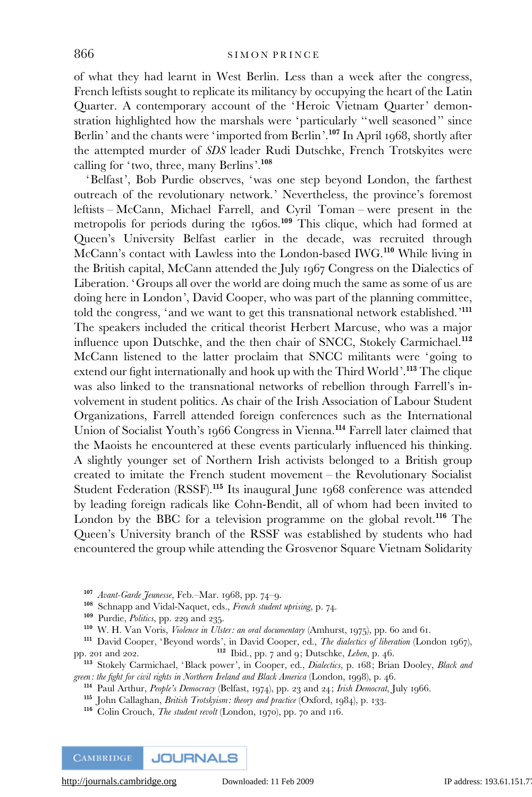of what they had learnt in West Berlin. Less than a week after the congress, French leftists sought to replicate its militancy by occupying the heart of the Latin Quarter. A contemporary account of the 'Heroic Vietnam Quarter' demonstration highlighted how the marshals were 'particularly ''well seasoned'' since Berlin' and the chants were 'imported from Berlin'.<sup>107</sup> In April 1968, shortly after the attempted murder of SDS leader Rudi Dutschke, French Trotskyites were calling for 'two, three, many Berlins'.<sup>108</sup>

'Belfast', Bob Purdie observes, 'was one step beyond London, the farthest outreach of the revolutionary network.' Nevertheless, the province's foremost leftists – McCann, Michael Farrell, and Cyril Toman – were present in the metropolis for periods during the 1960s.<sup>109</sup> This clique, which had formed at Queen's University Belfast earlier in the decade, was recruited through McCann's contact with Lawless into the London-based IWG.<sup>110</sup> While living in the British capital, McCann attended the July 1967 Congress on the Dialectics of Liberation. 'Groups all over the world are doing much the same as some of us are doing here in London', David Cooper, who was part of the planning committee, told the congress, 'and we want to get this transnational network established.'<sup>111</sup> The speakers included the critical theorist Herbert Marcuse, who was a major influence upon Dutschke, and the then chair of SNCC, Stokely Carmichael.<sup>112</sup> McCann listened to the latter proclaim that SNCC militants were 'going to extend our fight internationally and hook up with the Third World'.<sup>113</sup> The clique was also linked to the transnational networks of rebellion through Farrell's involvement in student politics. As chair of the Irish Association of Labour Student Organizations, Farrell attended foreign conferences such as the International Union of Socialist Youth's 1966 Congress in Vienna.<sup>114</sup> Farrell later claimed that the Maoists he encountered at these events particularly influenced his thinking. A slightly younger set of Northern Irish activists belonged to a British group created to imitate the French student movement – the Revolutionary Socialist Student Federation (RSSF).<sup>115</sup> Its inaugural June 1968 conference was attended by leading foreign radicals like Cohn-Bendit, all of whom had been invited to London by the BBC for a television programme on the global revolt.<sup>116</sup> The Queen's University branch of the RSSF was established by students who had encountered the group while attending the Grosvenor Square Vietnam Solidarity

<sup>113</sup> Stokely Carmichael, 'Black power', in Cooper, ed., Dialectics, p. 168; Brian Dooley, Black and green: the fight for civil rights in Northern Ireland and Black America (London, 1998), p. 46.

<sup>107</sup> Avant-Garde Jeunesse, Feb.–Mar. 1968, pp. 74–9.

<sup>108</sup> Schnapp and Vidal-Naquet, eds., French student uprising, p. 74.

<sup>&</sup>lt;sup>109</sup> Purdie, Politics, pp. 229 and 235.

<sup>110</sup> W. H. Van Voris, Violence in Ulster: an oral documentary (Amhurst, 1975), pp. 60 and 61.

<sup>&</sup>lt;sup>111</sup> David Cooper, 'Beyond words', in David Cooper, ed., *The dialectics of liberation* (London 1967), pp. 201 and 202.  $112$  Ibid., pp. 7 and 9; Dutschke, Leben, p. 46.

<sup>&</sup>lt;sup>114</sup> Paul Arthur, People's Democracy (Belfast, 1974), pp. 23 and 24; Irish Democrat, July 1966.

<sup>&</sup>lt;sup>115</sup> John Callaghan, *British Trotskyism: theory and practice* (Oxford, 1984), p. 133.

<sup>116</sup> Colin Crouch, The student revolt (London, 1970), pp. 70 and 116.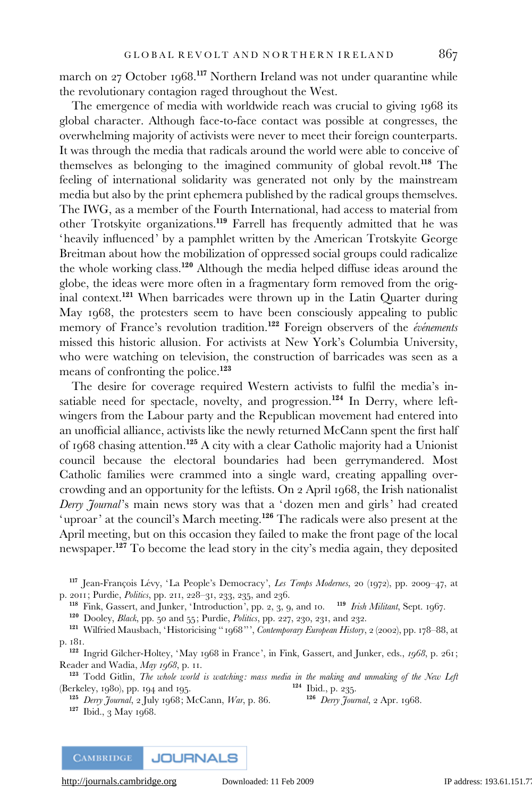march on 27 October 1968.<sup>117</sup> Northern Ireland was not under quarantine while the revolutionary contagion raged throughout the West.

The emergence of media with worldwide reach was crucial to giving 1968 its global character. Although face-to-face contact was possible at congresses, the overwhelming majority of activists were never to meet their foreign counterparts. It was through the media that radicals around the world were able to conceive of themselves as belonging to the imagined community of global revolt.<sup>118</sup> The feeling of international solidarity was generated not only by the mainstream media but also by the print ephemera published by the radical groups themselves. The IWG, as a member of the Fourth International, had access to material from other Trotskyite organizations.<sup>119</sup> Farrell has frequently admitted that he was 'heavily influenced' by a pamphlet written by the American Trotskyite George Breitman about how the mobilization of oppressed social groups could radicalize the whole working class.<sup>120</sup> Although the media helped diffuse ideas around the globe, the ideas were more often in a fragmentary form removed from the original context.<sup>121</sup> When barricades were thrown up in the Latin Quarter during May 1968, the protesters seem to have been consciously appealing to public memory of France's revolution tradition.<sup>122</sup> Foreign observers of the événements missed this historic allusion. For activists at New York's Columbia University, who were watching on television, the construction of barricades was seen as a means of confronting the police.<sup>123</sup>

The desire for coverage required Western activists to fulfil the media's insatiable need for spectacle, novelty, and progression.<sup>124</sup> In Derry, where leftwingers from the Labour party and the Republican movement had entered into an unofficial alliance, activists like the newly returned McCann spent the first half of 1968 chasing attention.<sup>125</sup> A city with a clear Catholic majority had a Unionist council because the electoral boundaries had been gerrymandered. Most Catholic families were crammed into a single ward, creating appalling overcrowding and an opportunity for the leftists. On 2 April 1968, the Irish nationalist Derry Journal's main news story was that a 'dozen men and girls' had created 'uproar' at the council's March meeting.<sup>126</sup> The radicals were also present at the April meeting, but on this occasion they failed to make the front page of the local newspaper.<sup>127</sup> To become the lead story in the city's media again, they deposited

<sup>117</sup> Jean-François Lévy, 'La People's Democracy', Les Temps Modernes, 20 (1972), pp. 2009–47, at p. 2011; Purdie, Politics, pp. 211, 228–31, 233, 235, and 236.

<sup>118</sup> Fink, Gassert, and Junker, 'Introduction', pp. 2, 3, 9, and 10. <sup>119</sup> Irish Militant, Sept. 1967.

<sup>120</sup> Dooley, Black, pp. 50 and 55; Purdie, Politics, pp. 227, 230, 231, and 232.

121 Wilfried Mausbach, 'Historicising "1968"', Contemporary European History, 2 (2002), pp. 178-88, at p. 181.

<sup>122</sup> Ingrid Gilcher-Holtey, 'May 1968 in France', in Fink, Gassert, and Junker, eds., 1968, p. 261; Reader and Wadia, May 1968, p. 11.

<sup>123</sup> Todd Gitlin, *The whole world is watching: mass media in the making and unmaking of the New Left* erkelev, 1980), pp. 194 and 195. (Berkeley, 1980), pp. 194 and 195.

<sup>125</sup> Derry Journal, 2 July 1968; McCann, War, p. 86. <sup>126</sup> Derry Journal, 2 Apr. 1968. <sup>127</sup> Ibid., 3 May 1968.

**JOURNALS CAMBRIDGE**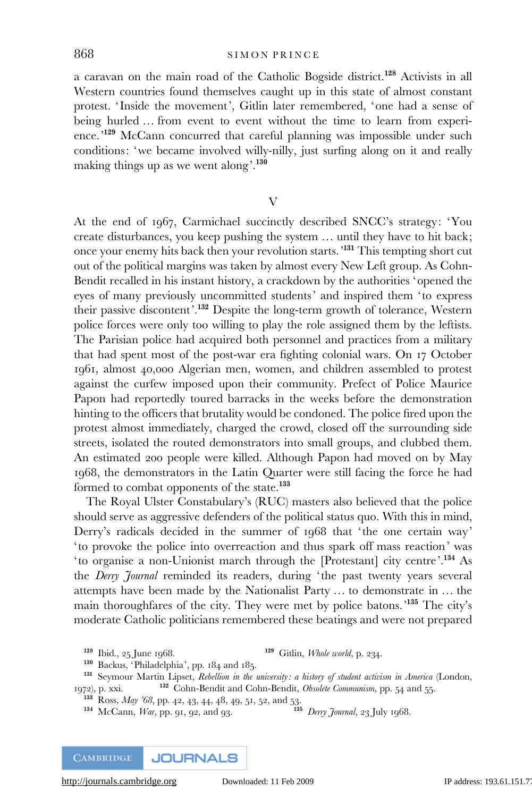a caravan on the main road of the Catholic Bogside district.<sup>128</sup> Activists in all Western countries found themselves caught up in this state of almost constant protest. 'Inside the movement', Gitlin later remembered, 'one had a sense of being hurled … from event to event without the time to learn from experience.<sup>'129</sup> McCann concurred that careful planning was impossible under such conditions: 'we became involved willy-nilly, just surfing along on it and really making things up as we went along'.<sup>130</sup>

V

At the end of 1967, Carmichael succinctly described SNCC's strategy: 'You create disturbances, you keep pushing the system … until they have to hit back; once your enemy hits back then your revolution starts.'<sup>131</sup> This tempting short cut out of the political margins was taken by almost every New Left group. As Cohn-Bendit recalled in his instant history, a crackdown by the authorities ' opened the eyes of many previously uncommitted students' and inspired them 'to express their passive discontent'.<sup>132</sup> Despite the long-term growth of tolerance, Western police forces were only too willing to play the role assigned them by the leftists. The Parisian police had acquired both personnel and practices from a military that had spent most of the post-war era fighting colonial wars. On 17 October 1961, almost 40,000 Algerian men, women, and children assembled to protest against the curfew imposed upon their community. Prefect of Police Maurice Papon had reportedly toured barracks in the weeks before the demonstration hinting to the officers that brutality would be condoned. The police fired upon the protest almost immediately, charged the crowd, closed off the surrounding side streets, isolated the routed demonstrators into small groups, and clubbed them. An estimated 200 people were killed. Although Papon had moved on by May 1968, the demonstrators in the Latin Quarter were still facing the force he had formed to combat opponents of the state.<sup>133</sup>

The Royal Ulster Constabulary's (RUC) masters also believed that the police should serve as aggressive defenders of the political status quo. With this in mind, Derry's radicals decided in the summer of 1968 that 'the one certain way' 'to provoke the police into overreaction and thus spark off mass reaction' was 'to organise a non-Unionist march through the [Protestant] city centre'.<sup>134</sup> As the Derry Journal reminded its readers, during 'the past twenty years several attempts have been made by the Nationalist Party … to demonstrate in … the main thoroughfares of the city. They were met by police batons.'<sup>135</sup> The city's moderate Catholic politicians remembered these beatings and were not prepared

 $134$  McCann, *War*, pp. 91, 92, and 93.

**JOURNALS CAMBRIDGE** 

<sup>&</sup>lt;sup>128</sup> Ibid., 25 June 1968. <sup>129</sup> Gitlin, *Whole world*, p. 234.

<sup>130</sup> Backus, 'Philadelphia', pp. 184 and 185.

<sup>&</sup>lt;sup>131</sup> Seymour Martin Lipset, Rebellion in the university: a history of student activism in America (London, 1972), p. xxi. <sup>132</sup> Cohn-Bendit and Cohn-Bendit, Obsolete Communism, pp. 54 and 55.

<sup>&</sup>lt;sup>133</sup> Ross, *May '68*, pp. 42, 43, 44, 48, 49, 51, 52, and 53.<br><sup>134</sup> McCann, *War*, pp. 91, 92, and 93. <sup>135</sup> Derry Journal, 23 July 1968.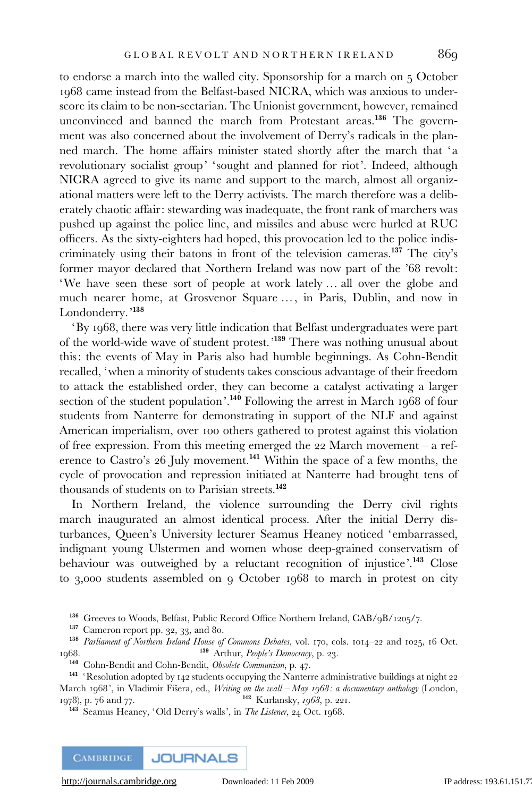to endorse a march into the walled city. Sponsorship for a march on 5 October 1968 came instead from the Belfast-based NICRA, which was anxious to underscore its claim to be non-sectarian. The Unionist government, however, remained unconvinced and banned the march from Protestant areas.<sup>136</sup> The government was also concerned about the involvement of Derry's radicals in the planned march. The home affairs minister stated shortly after the march that 'a revolutionary socialist group' 'sought and planned for riot'. Indeed, although NICRA agreed to give its name and support to the march, almost all organizational matters were left to the Derry activists. The march therefore was a deliberately chaotic affair: stewarding was inadequate, the front rank of marchers was pushed up against the police line, and missiles and abuse were hurled at RUC officers. As the sixty-eighters had hoped, this provocation led to the police indiscriminately using their batons in front of the television cameras.<sup>137</sup> The city's former mayor declared that Northern Ireland was now part of the '68 revolt: 'We have seen these sort of people at work lately … all over the globe and much nearer home, at Grosvenor Square …, in Paris, Dublin, and now in Londonderry.<sup>'138</sup>

'By 1968, there was very little indication that Belfast undergraduates were part of the world-wide wave of student protest.'<sup>139</sup> There was nothing unusual about this: the events of May in Paris also had humble beginnings. As Cohn-Bendit recalled, 'when a minority of students takes conscious advantage of their freedom to attack the established order, they can become a catalyst activating a larger section of the student population'.<sup>140</sup> Following the arrest in March 1968 of four students from Nanterre for demonstrating in support of the NLF and against American imperialism, over 100 others gathered to protest against this violation of free expression. From this meeting emerged the 22 March movement – a reference to Castro's 26 July movement.<sup>141</sup> Within the space of a few months, the cycle of provocation and repression initiated at Nanterre had brought tens of thousands of students on to Parisian streets.<sup>142</sup>

In Northern Ireland, the violence surrounding the Derry civil rights march inaugurated an almost identical process. After the initial Derry disturbances, Queen's University lecturer Seamus Heaney noticed 'embarrassed, indignant young Ulstermen and women whose deep-grained conservatism of behaviour was outweighed by a reluctant recognition of injustice'.<sup>143</sup> Close to 3,000 students assembled on 9 October 1968 to march in protest on city

<sup>136</sup> Greeves to Woods, Belfast, Public Record Office Northern Ireland, CAB/9B/1205/7.

<sup>137</sup> Cameron report pp. 32, 33, and 80.

<sup>138</sup> Parliament of Northern Ireland House of Commons Debates, vol. 170, cols. 1014–22 and 1025, 16 Oct. 139 Arthur, People's Democracy, p. 23.

<sup>140</sup> Cohn-Bendit and Cohn-Bendit, Obsolete Communism, p. 47.

<sup>141</sup> 'Resolution adopted by 142 students occupying the Nanterre administrative buildings at night 22 March 1968', in Vladimir Fišera, ed., Writing on the wall  $-May_1968$ : a documentary anthology (London, 1978), p. 76 and 77. 142 Kurlansky, 1968, p. 221.

<sup>143</sup> Seamus Heaney, 'Old Derry's walls', in The Listener, 24 Oct. 1968.

**CAMBRIDGE JOURNALS**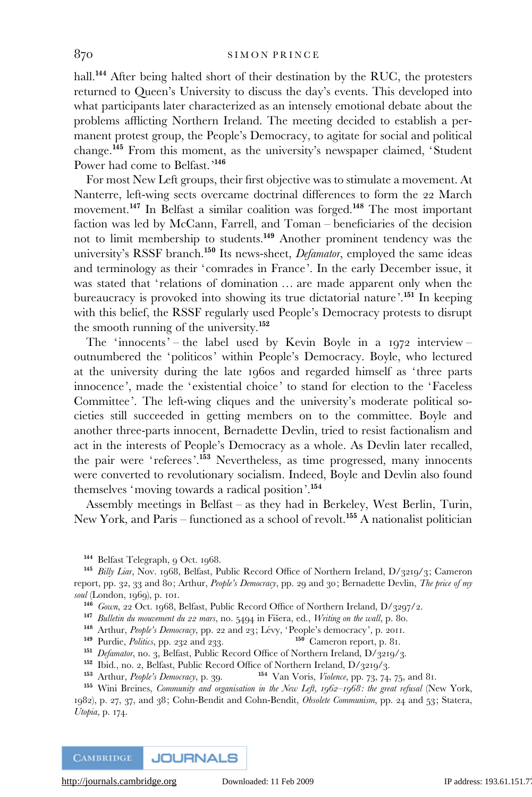hall.<sup>144</sup> After being halted short of their destination by the RUC, the protesters returned to Queen's University to discuss the day's events. This developed into what participants later characterized as an intensely emotional debate about the problems afflicting Northern Ireland. The meeting decided to establish a permanent protest group, the People's Democracy, to agitate for social and political change.<sup>145</sup> From this moment, as the university's newspaper claimed, 'Student Power had come to Belfast.<sup>'146</sup>

For most New Left groups, their first objective was to stimulate a movement. At Nanterre, left-wing sects overcame doctrinal differences to form the 22 March movement.<sup>147</sup> In Belfast a similar coalition was forged.<sup>148</sup> The most important faction was led by McCann, Farrell, and Toman – beneficiaries of the decision not to limit membership to students.<sup>149</sup> Another prominent tendency was the university's RSSF branch.<sup>150</sup> Its news-sheet, *Defamator*, employed the same ideas and terminology as their 'comrades in France'. In the early December issue, it was stated that 'relations of domination ... are made apparent only when the bureaucracy is provoked into showing its true dictatorial nature'.<sup>151</sup> In keeping with this belief, the RSSF regularly used People's Democracy protests to disrupt the smooth running of the university.<sup>152</sup>

The 'innocents' – the label used by Kevin Boyle in a 1972 interview – outnumbered the 'politicos' within People's Democracy. Boyle, who lectured at the university during the late 1960s and regarded himself as 'three parts innocence', made the 'existential choice' to stand for election to the 'Faceless Committee'. The left-wing cliques and the university's moderate political societies still succeeded in getting members on to the committee. Boyle and another three-parts innocent, Bernadette Devlin, tried to resist factionalism and act in the interests of People's Democracy as a whole. As Devlin later recalled, the pair were 'referees'.<sup>153</sup> Nevertheless, as time progressed, many innocents were converted to revolutionary socialism. Indeed, Boyle and Devlin also found themselves 'moving towards a radical position'.<sup>154</sup>

Assembly meetings in Belfast – as they had in Berkeley, West Berlin, Turin, New York, and Paris – functioned as a school of revolt.<sup>155</sup> A nationalist politician

1982), p. 27, 37, and 38; Cohn-Bendit and Cohn-Bendit, Obsolete Communism, pp. 24 and 53; Statera, Utopia, p. 174.

<sup>144</sup> Belfast Telegraph, 9 Oct. 1968.

<sup>&</sup>lt;sup>145</sup> Billy Liar, Nov. 1968, Belfast, Public Record Office of Northern Ireland, D/3219/3; Cameron report, pp. 32, 33 and 80; Arthur, People's Democracy, pp. 29 and 30; Bernadette Devlin, The price of my soul (London, 1969), p. 101.

<sup>146</sup> Gown, 22 Oct. 1968, Belfast, Public Record Office of Northern Ireland, D/3297/2.

<sup>&</sup>lt;sup>147</sup> Bulletin du mouvement du 22 mars, no. 5494 in Fišera, ed., Writing on the wall, p. 80.

<sup>&</sup>lt;sup>148</sup> Arthur, *People's Democracy*, pp. 22 and 23; Lévy, 'People's democracy', p. 2011.<br><sup>149</sup> Purdie, *Politics*, pp. 232 and 233.<br><sup>150</sup> Cameron report, p. 81.

 $149$  Purdie, *Politics*, pp. 232 and 233.

<sup>&</sup>lt;sup>151</sup> Defamator, no. 3, Belfast, Public Record Office of Northern Ireland, D/3219/3.

<sup>&</sup>lt;sup>152</sup> Ibid., no. 2, Belfast, Public Record Office of Northern Ireland, D/3219/3.<br><sup>153</sup> Arthur, *People's Democracy*, p. 39. <sup>154</sup> Van Voris, *Violence*, pp. 73, 74.

 $^{154}$  Van Voris, *Violence*, pp. 73, 74, 75, and 81.

<sup>155</sup> Wini Breines, Community and organisation in the New Left, 1962-1968: the great refusal (New York,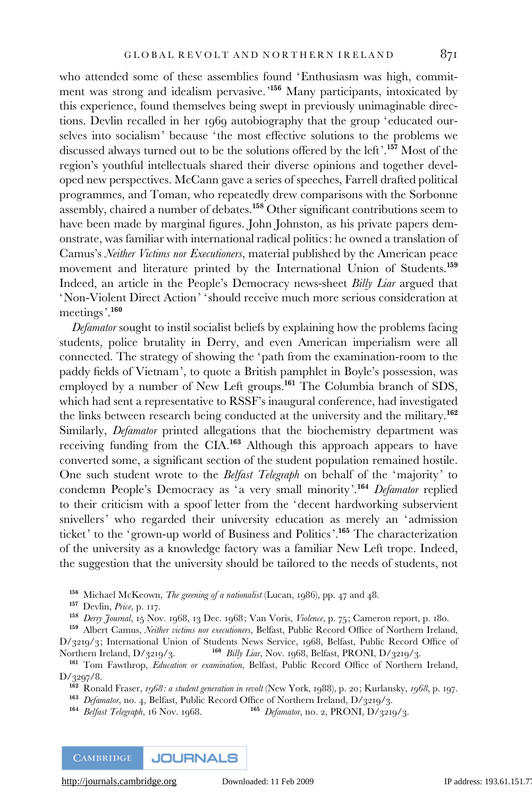who attended some of these assemblies found 'Enthusiasm was high, commitment was strong and idealism pervasive.'<sup>156</sup> Many participants, intoxicated by this experience, found themselves being swept in previously unimaginable directions. Devlin recalled in her 1969 autobiography that the group 'educated ourselves into socialism' because 'the most effective solutions to the problems we discussed always turned out to be the solutions offered by the left'.<sup>157</sup> Most of the region's youthful intellectuals shared their diverse opinions and together developed new perspectives. McCann gave a series of speeches, Farrell drafted political programmes, and Toman, who repeatedly drew comparisons with the Sorbonne assembly, chaired a number of debates.<sup>158</sup> Other significant contributions seem to have been made by marginal figures. John Johnston, as his private papers demonstrate, was familiar with international radical politics: he owned a translation of Camus's Neither Victims nor Executioners, material published by the American peace movement and literature printed by the International Union of Students.<sup>159</sup> Indeed, an article in the People's Democracy news-sheet Billy Liar argued that 'Non-Violent Direct Action' ' should receive much more serious consideration at meetings'.<sup>160</sup>

Defamator sought to instil socialist beliefs by explaining how the problems facing students, police brutality in Derry, and even American imperialism were all connected. The strategy of showing the 'path from the examination-room to the paddy fields of Vietnam', to quote a British pamphlet in Boyle's possession, was employed by a number of New Left groups.<sup>161</sup> The Columbia branch of SDS, which had sent a representative to RSSF's inaugural conference, had investigated the links between research being conducted at the university and the military.<sup>162</sup> Similarly, Defamator printed allegations that the biochemistry department was receiving funding from the CIA.<sup>163</sup> Although this approach appears to have converted some, a significant section of the student population remained hostile. One such student wrote to the Belfast Telegraph on behalf of the 'majority' to condemn People's Democracy as 'a very small minority'.<sup>164</sup> Defamator replied to their criticism with a spoof letter from the 'decent hardworking subservient snivellers' who regarded their university education as merely an 'admission ticket' to the 'grown-up world of Business and Politics'.<sup>165</sup> The characterization of the university as a knowledge factory was a familiar New Left trope. Indeed, the suggestion that the university should be tailored to the needs of students, not

156 Michael McKeown, The greening of a nationalist (Lucan, 1986), pp. 47 and 48.

157 Devlin, Price, p. 117.

<sup>158</sup> Derry Journal, 15 Nov. 1968, 13 Dec. 1968; Van Voris, Violence, p. 75; Cameron report, p. 180.

<sup>159</sup> Albert Camus, Neither victims nor executioners, Belfast, Public Record Office of Northern Ireland, D/3219/3; International Union of Students News Service, 1968, Belfast, Public Record Office of Northern Ireland, D/3219/3. <sup>160</sup> Billy Liar, Nov. 1968, Belfast, PRONI, D/3219/3.

<sup>162</sup> Ronald Fraser, 1968: a student generation in revolt (New York, 1988), p. 20; Kurlansky, 1968, p. 197.

<sup>163</sup> Defamator, no. 4, Belfast, Public Record Office of Northern Ireland, D/3219/3.<br><sup>164</sup> Belfast Telegraph, 16 Nov. 1968. <sup>165</sup> Defamator, no. 2, PRONI, D/321  $165$  *Defamator*, no. 2, PRONI, D/3219/3.

**CAMBRIDGE JOURNALS** 

<sup>&</sup>lt;sup>161</sup> Tom Fawthrop, *Education or examination*, Belfast, Public Record Office of Northern Ireland, D/3297/8.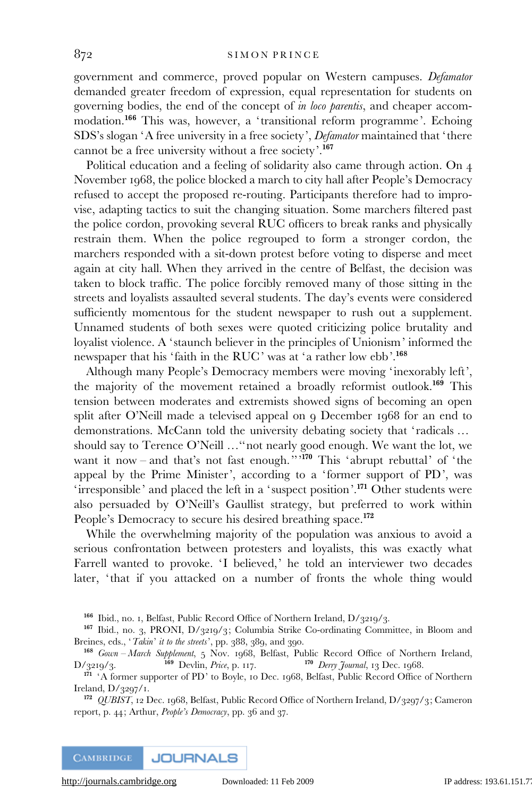government and commerce, proved popular on Western campuses. Defamator demanded greater freedom of expression, equal representation for students on governing bodies, the end of the concept of in loco parentis, and cheaper accommodation.<sup>166</sup> This was, however, a 'transitional reform programme'. Echoing SDS's slogan 'A free university in a free society', Defamator maintained that 'there cannot be a free university without a free society'.<sup>167</sup>

Political education and a feeling of solidarity also came through action. On 4 November 1968, the police blocked a march to city hall after People's Democracy refused to accept the proposed re-routing. Participants therefore had to improvise, adapting tactics to suit the changing situation. Some marchers filtered past the police cordon, provoking several RUC officers to break ranks and physically restrain them. When the police regrouped to form a stronger cordon, the marchers responded with a sit-down protest before voting to disperse and meet again at city hall. When they arrived in the centre of Belfast, the decision was taken to block traffic. The police forcibly removed many of those sitting in the streets and loyalists assaulted several students. The day's events were considered sufficiently momentous for the student newspaper to rush out a supplement. Unnamed students of both sexes were quoted criticizing police brutality and loyalist violence. A ' staunch believer in the principles of Unionism' informed the newspaper that his 'faith in the RUC' was at 'a rather low ebb'.<sup>168</sup>

Although many People's Democracy members were moving 'inexorably left', the majority of the movement retained a broadly reformist outlook.<sup>169</sup> This tension between moderates and extremists showed signs of becoming an open split after O'Neill made a televised appeal on 9 December 1968 for an end to demonstrations. McCann told the university debating society that 'radicals ... should say to Terence O'Neill …''not nearly good enough. We want the lot, we want it now – and that's not fast enough."<sup>170</sup> This 'abrupt rebuttal' of 'the appeal by the Prime Minister', according to a 'former support of PD', was 'irresponsible' and placed the left in a 'suspect position'.<sup>171</sup> Other students were also persuaded by O'Neill's Gaullist strategy, but preferred to work within People's Democracy to secure his desired breathing space.<sup>172</sup>

While the overwhelming majority of the population was anxious to avoid a serious confrontation between protesters and loyalists, this was exactly what Farrell wanted to provoke. 'I believed,' he told an interviewer two decades later, 'that if you attacked on a number of fronts the whole thing would

<sup>166</sup> Ibid., no. 1, Belfast, Public Record Office of Northern Ireland, D/3219/3.

<sup>167</sup> Ibid., no. 3, PRONI, D/3219/3; Columbia Strike Co-ordinating Committee, in Bloom and Breines, eds., 'Takin' it to the streets', pp. 388, 389, and 390.

<sup>&</sup>lt;sup>168</sup> Gown – March Supplement, 5 Nov. 1968, Belfast, Public Record Office of Northern Ireland,  $\frac{169}{3219}/3$ .<br>
<sup>169</sup> Devlin, *Price*, p. 117. <sup>170</sup> Derry Journal, 13 Dec. 1968.  $D/3219/3.$  169 Devlin, Price, p. 117. 170 Derry Journal, 13 Dec. 1968.

<sup>&</sup>lt;sup>171</sup> 'A former supporter of PD' to Boyle, 10 Dec. 1968, Belfast, Public Record Office of Northern Ireland, D/3297/1.

<sup>&</sup>lt;sup>172</sup> *QUBIST*, 12 Dec. 1968, Belfast, Public Record Office of Northern Ireland, D/3297/3; Cameron report, p. 44; Arthur, People's Democracy, pp. 36 and 37.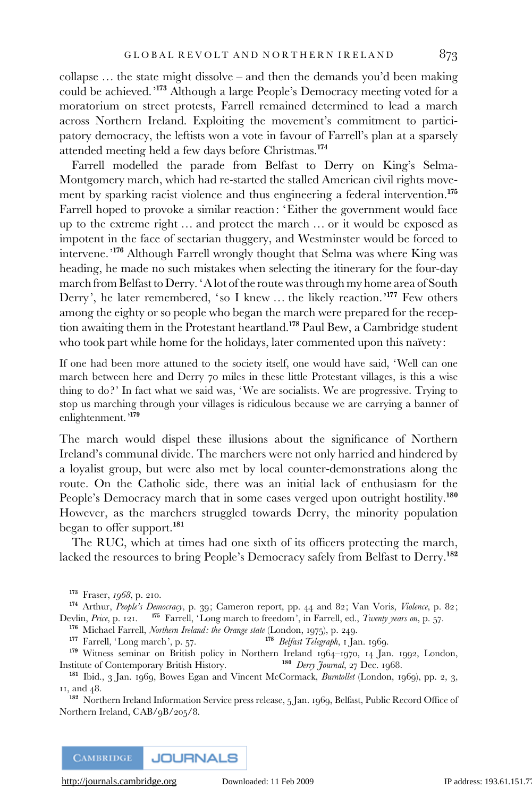collapse … the state might dissolve – and then the demands you'd been making could be achieved.'<sup>173</sup> Although a large People's Democracy meeting voted for a moratorium on street protests, Farrell remained determined to lead a march across Northern Ireland. Exploiting the movement's commitment to participatory democracy, the leftists won a vote in favour of Farrell's plan at a sparsely attended meeting held a few days before Christmas.<sup>174</sup>

Farrell modelled the parade from Belfast to Derry on King's Selma-Montgomery march, which had re-started the stalled American civil rights movement by sparking racist violence and thus engineering a federal intervention.<sup>175</sup> Farrell hoped to provoke a similar reaction: 'Either the government would face up to the extreme right … and protect the march … or it would be exposed as impotent in the face of sectarian thuggery, and Westminster would be forced to intervene.'<sup>176</sup> Although Farrell wrongly thought that Selma was where King was heading, he made no such mistakes when selecting the itinerary for the four-day march from Belfast to Derry. 'A lot of the route was through my home area of South Derry', he later remembered, 'so I knew ... the likely reaction.'<sup>177</sup> Few others among the eighty or so people who began the march were prepared for the reception awaiting them in the Protestant heartland.<sup>178</sup> Paul Bew, a Cambridge student who took part while home for the holidays, later commented upon this naïvety:

If one had been more attuned to the society itself, one would have said, 'Well can one march between here and Derry 70 miles in these little Protestant villages, is this a wise thing to do ?' In fact what we said was, 'We are socialists. We are progressive. Trying to stop us marching through your villages is ridiculous because we are carrying a banner of enlightenment.'<sup>179</sup>

The march would dispel these illusions about the significance of Northern Ireland's communal divide. The marchers were not only harried and hindered by a loyalist group, but were also met by local counter-demonstrations along the route. On the Catholic side, there was an initial lack of enthusiasm for the People's Democracy march that in some cases verged upon outright hostility.<sup>180</sup> However, as the marchers struggled towards Derry, the minority population began to offer support.<sup>181</sup>

The RUC, which at times had one sixth of its officers protecting the march, lacked the resources to bring People's Democracy safely from Belfast to Derry.<sup>182</sup>

174 Arthur, People's Democracy, p. 39; Cameron report, pp. 44 and 82; Van Voris, Violence, p. 82; Devlin, Price, p. 121. <sup>175</sup> Farrell, 'Long march to freedom', in Farrell, ed., *Twenty years on*, p. 57.

<sup>176</sup> Michael Farrell, *Northern Ireland: the Orange state* (London, 1975), p. 249.<br><sup>177</sup> Farrell, 'Long march', p. 57.<br>**<sup>178</sup>** *Belfast Telegraph*, 1 Ja

<sup>178</sup> Belfast Telegraph, 1 Jan. 1969.

<sup>179</sup> Witness seminar on British policy in Northern Ireland 1964–1970, 14 Jan. 1992, London, stitute of Contemporary British History. <sup>180</sup> *Derry Journal*, 27 Dec. 1968. Institute of Contemporary British History.

181 Ibid., 3 Jan. 1969, Bowes Egan and Vincent McCormack, Burntollet (London, 1969), pp. 2, 3, 11, and 48.

<sup>182</sup> Northern Ireland Information Service press release, 5 Jan. 1969, Belfast, Public Record Office of Northern Ireland, CAB/9B/205/8.

**CAMBRIDGE JOURNALS** 

<sup>173</sup> Fraser, 1968, p. 210.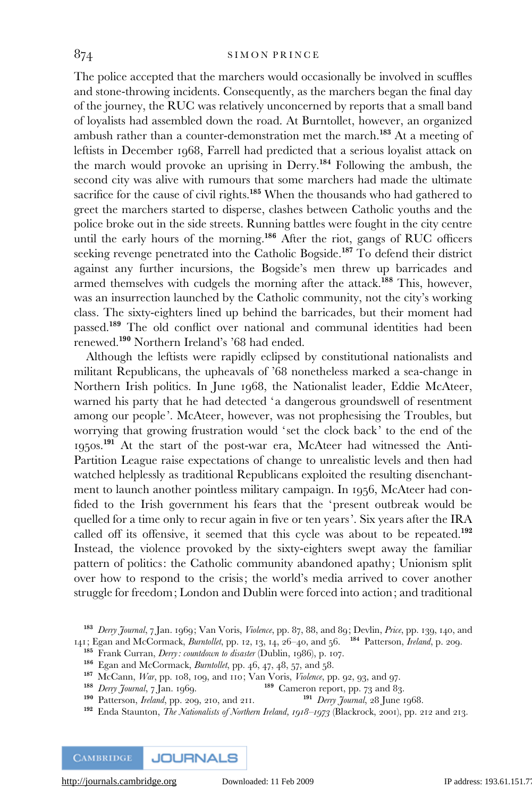The police accepted that the marchers would occasionally be involved in scuffles and stone-throwing incidents. Consequently, as the marchers began the final day of the journey, the RUC was relatively unconcerned by reports that a small band of loyalists had assembled down the road. At Burntollet, however, an organized ambush rather than a counter-demonstration met the march.<sup>183</sup> At a meeting of leftists in December 1968, Farrell had predicted that a serious loyalist attack on the march would provoke an uprising in Derry.<sup>184</sup> Following the ambush, the second city was alive with rumours that some marchers had made the ultimate sacrifice for the cause of civil rights.<sup>185</sup> When the thousands who had gathered to greet the marchers started to disperse, clashes between Catholic youths and the police broke out in the side streets. Running battles were fought in the city centre until the early hours of the morning.<sup>186</sup> After the riot, gangs of RUC officers seeking revenge penetrated into the Catholic Bogside.<sup>187</sup> To defend their district against any further incursions, the Bogside's men threw up barricades and armed themselves with cudgels the morning after the attack.<sup>188</sup> This, however, was an insurrection launched by the Catholic community, not the city's working class. The sixty-eighters lined up behind the barricades, but their moment had passed.<sup>189</sup> The old conflict over national and communal identities had been renewed.<sup>190</sup> Northern Ireland's '68 had ended.

Although the leftists were rapidly eclipsed by constitutional nationalists and militant Republicans, the upheavals of '68 nonetheless marked a sea-change in Northern Irish politics. In June 1968, the Nationalist leader, Eddie McAteer, warned his party that he had detected 'a dangerous groundswell of resentment among our people'. McAteer, however, was not prophesising the Troubles, but worrying that growing frustration would 'set the clock back' to the end of the 1950s.<sup>191</sup> At the start of the post-war era, McAteer had witnessed the Anti-Partition League raise expectations of change to unrealistic levels and then had watched helplessly as traditional Republicans exploited the resulting disenchantment to launch another pointless military campaign. In 1956, McAteer had confided to the Irish government his fears that the 'present outbreak would be quelled for a time only to recur again in five or ten years'. Six years after the IRA called off its offensive, it seemed that this cycle was about to be repeated.<sup>192</sup> Instead, the violence provoked by the sixty-eighters swept away the familiar pattern of politics: the Catholic community abandoned apathy; Unionism split over how to respond to the crisis; the world's media arrived to cover another struggle for freedom; London and Dublin were forced into action; and traditional

<sup>&</sup>lt;sup>183</sup> Derry Journal, 7 Jan. 1969; Van Voris, Violence, pp. 87, 88, and 89; Devlin, Price, pp. 139, 140, and 141; Egan and McCormack, Burntollet, pp. 12, 13, 14, 26-40, and 56. <sup>184</sup> Patterson, *Ireland*, p. 209.

<sup>&</sup>lt;sup>185</sup> Frank Curran, *Derry: countdown to disaster* (Dublin, 1986), p. 107.

 $186$  Egan and McCormack, *Burntollet*, pp. 46, 47, 48, 57, and 58.

<sup>&</sup>lt;sup>187</sup> McCann, *War*, pp. 108, 109, and 110; Van Voris, *Violence*, pp. 92, 93, and 97.<br><sup>188</sup> Cameron report, pp. 73 and 83

<sup>&</sup>lt;sup>189</sup> Cameron report, pp. 73 and 83.<br><sup>191</sup> *Derry Journal*, 28 June 1968.  $190$  Patterson, *Ireland*, pp. 209, 210, and 211.

<sup>&</sup>lt;sup>192</sup> Enda Staunton, *The Nationalists of Northern Ireland, 1918–1973* (Blackrock, 2001), pp. 212 and 213.